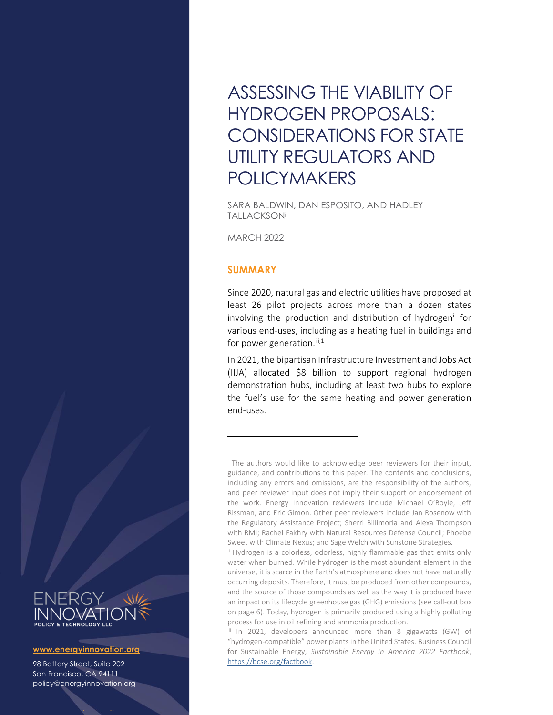# ASSESSING THE VIABILITY OF HYDROGEN PROPOSALS: CONSIDERATIONS FOR STATE UTILITY REGULATORS AND POLICYMAKERS

SARA BALDWIN, DAN ESPOSITO, AND HADLEY **TALLACKSONi** 

MARCH 2022

## **SUMMARY**

Since 2020, natural gas and electric utilities have proposed at least 26 pilot projects across more than a dozen states involving the production and distribution of hydrogen<sup>ii</sup> for various end-uses, including as a heating fuel in buildings and for power generation. $iii,1$ 

In 2021, the bipartisan Infrastructure Investment and Jobs Act (IIJA) allocated \$8 billion to support regional hydrogen demonstration hubs, including at least two hubs to explore the fuel's use for the same heating and power generation end-uses.

ii Hydrogen is a colorless, odorless, highly flammable gas that emits only water when burned. While hydrogen is the most abundant element in the universe, it is scarce in the Earth's atmosphere and does not have naturally occurring deposits. Therefore, it must be produced from other compounds, and the source of those compounds as well as the way it is produced have an impact on its lifecycle greenhouse gas (GHG) emissions (see call-out box on page 6). Today, hydrogen is primarily produced using a highly polluting process for use in oil refining and ammonia production.

iii In 2021, developers announced more than 8 gigawatts (GW) of "hydrogen-compatible" power plants in the United States. Business Council for Sustainable Energy, *Sustainable Energy in America 2022 Factbook*, [https://bcse.org/factbook.](https://bcse.org/factbook)



#### **www.energyinnovation.org**

98 Battery Street, Suite 202 San Francisco, CA 94111 policy@energyinnovation.org

**www.energyinnovation.org**

<sup>&</sup>lt;sup>i</sup> The authors would like to acknowledge peer reviewers for their input, guidance, and contributions to this paper. The contents and conclusions, including any errors and omissions, are the responsibility of the authors, and peer reviewer input does not imply their support or endorsement of the work. Energy Innovation reviewers include Michael O'Boyle, Jeff Rissman, and Eric Gimon. Other peer reviewers include Jan Rosenow with the Regulatory Assistance Project; Sherri Billimoria and Alexa Thompson with RMI; Rachel Fakhry with Natural Resources Defense Council; Phoebe Sweet with Climate Nexus; and Sage Welch with Sunstone Strategies.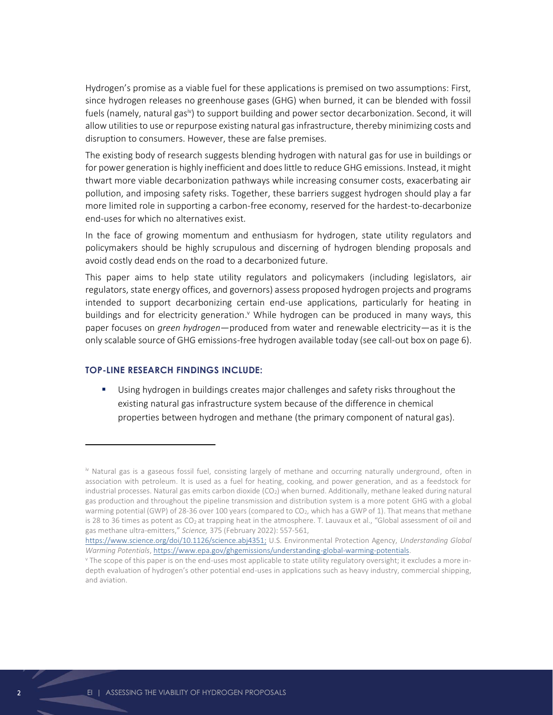Hydrogen's promise as a viable fuel for these applications is premised on two assumptions: First, since hydrogen releases no greenhouse gases (GHG) when burned, it can be blended with fossil fuels (namely, natural gas<sup>iv</sup>) to support building and power sector decarbonization. Second, it will allow utilities to use or repurpose existing natural gas infrastructure, thereby minimizing costs and disruption to consumers. However, these are false premises.

The existing body of research suggests blending hydrogen with natural gas for use in buildings or for power generation is highly inefficient and does little to reduce GHG emissions. Instead, it might thwart more viable decarbonization pathways while increasing consumer costs, exacerbating air pollution, and imposing safety risks. Together, these barriers suggest hydrogen should play a far more limited role in supporting a carbon-free economy, reserved for the hardest-to-decarbonize end-uses for which no alternatives exist.

In the face of growing momentum and enthusiasm for hydrogen, state utility regulators and policymakers should be highly scrupulous and discerning of hydrogen blending proposals and avoid costly dead ends on the road to a decarbonized future.

This paper aims to help state utility regulators and policymakers (including legislators, air regulators, state energy offices, and governors) assess proposed hydrogen projects and programs intended to support decarbonizing certain end-use applications, particularly for heating in buildings and for electricity generation.<sup>v</sup> While hydrogen can be produced in many ways, this paper focuses on *green hydrogen*—produced from water and renewable electricity—as it is the only scalable source of GHG emissions-free hydrogen available today (see call-out box on page 6).

#### **TOP-LINE RESEARCH FINDINGS INCLUDE:**

Using hydrogen in buildings creates major challenges and safety risks throughout the existing natural gas infrastructure system because of the difference in chemical properties between hydrogen and methane (the primary component of natural gas).

iv Natural gas is a gaseous fossil fuel, consisting largely of methane and occurring naturally underground, often in association with petroleum. It is used as a fuel for heating, cooking, and power generation, and as a feedstock for industrial processes. Natural gas emits carbon dioxide  $(CO<sub>2</sub>)$  when burned. Additionally, methane leaked during natural gas production and throughout the pipeline transmission and distribution system is a more potent GHG with a global warming potential (GWP) of 28-36 over 100 years (compared to CO<sub>2</sub>, which has a GWP of 1). That means that methane is 28 to 36 times as potent as CO<sub>2</sub> at trapping heat in the atmosphere. T. Lauvaux et al., "Global assessment of oil and gas methane ultra-emitters," *Science,* 375 (February 2022): 557-561,

[https://www.science.org/doi/10.1126/science.abj4351;](https://www.science.org/doi/10.1126/science.abj4351) U.S. Environmental Protection Agency, *Understanding Global Warming Potentials*[, https://www.epa.gov/ghgemissions/understanding-global-warming-potentials.](https://www.epa.gov/ghgemissions/understanding-global-warming-potentials)

<sup>v</sup> The scope of this paper is on the end-uses most applicable to state utility regulatory oversight; it excludes a more indepth evaluation of hydrogen's other potential end-uses in applications such as heavy industry, commercial shipping, and aviation.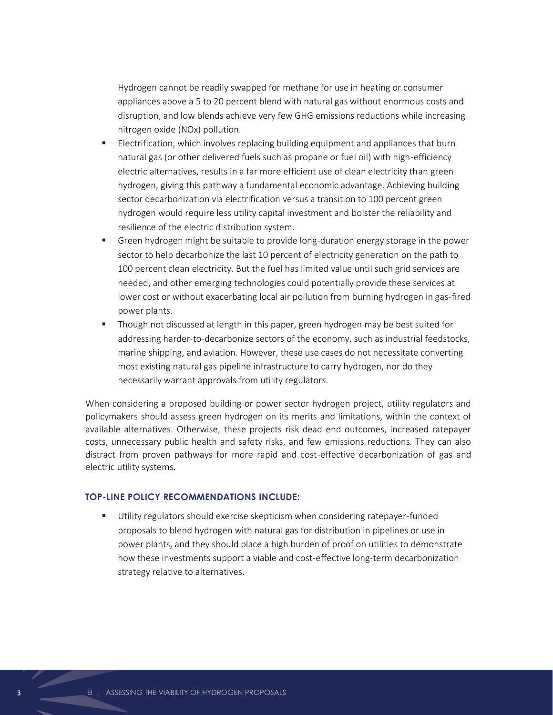Hydrogen cannot be readily swapped for methane for use in heating or consumer appliances above a 5 to 20 percent blend with natural gas without enormous costs and disruption, and low blends achieve very few GHG emissions reductions while increasing nitrogen oxide (NOx) pollution.

- Electrification, which involves replacing building equipment and appliances that burn natural gas (or other delivered fuels such as propane or fuel oil) with high-efficiency electric alternatives, results in a far more efficient use of clean electricity than green hydrogen, giving this pathway a fundamental economic advantage. Achieving building sector decarbonization via electrification versus a transition to 100 percent green hydrogen would require less utility capital investment and bolster the reliability and resilience of the electric distribution system.
- Green hydrogen might be suitable to provide long-duration energy storage in the power sector to help decarbonize the last 10 percent of electricity generation on the path to 100 percent clean electricity. But the fuel has limited value until such grid services are needed, and other emerging technologies could potentially provide these services at lower cost or without exacerbating local air pollution from burning hydrogen in gas-fired power plants.
- Though not discussed at length in this paper, green hydrogen may be best suited for addressing harder-to-decarbonize sectors of the economy, such as industrial feedstocks, marine shipping, and aviation. However, these use cases do not necessitate converting most existing natural gas pipeline infrastructure to carry hydrogen, nor do they necessarily warrant approvals from utility regulators.

When considering a proposed building or power sector hydrogen project, utility regulators and policymakers should assess green hydrogen on its merits and limitations, within the context of available alternatives. Otherwise, these projects risk dead end outcomes, increased ratepayer costs, unnecessary public health and safety risks, and few emissions reductions. They can also distract from proven pathways for more rapid and cost-effective decarbonization of gas and electric utility systems.

#### **TOP-LINE POLICY RECOMMENDATIONS INCLUDE:**

Utility regulators should exercise skepticism when considering ratepayer-funded proposals to blend hydrogen with natural gas for distribution in pipelines or use in power plants, and they should place a high burden of proof on utilities to demonstrate how these investments support a viable and cost-effective long-term decarbonization strategy relative to alternatives.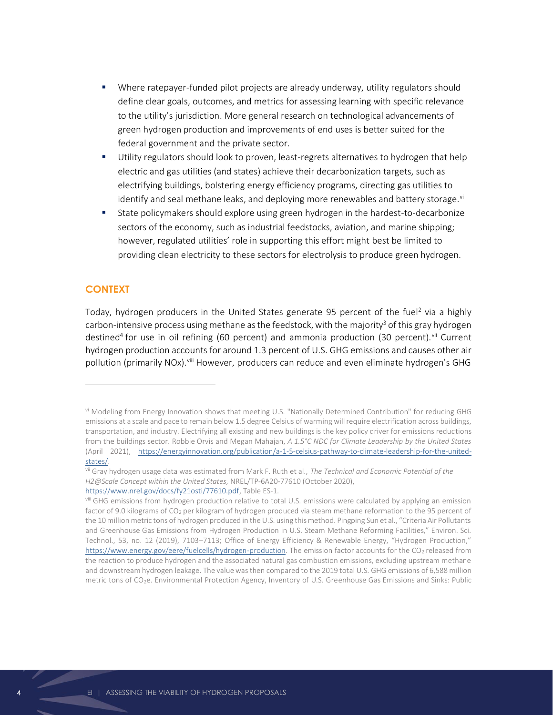- Where ratepayer-funded pilot projects are already underway, utility regulators should define clear goals, outcomes, and metrics for assessing learning with specific relevance to the utility's jurisdiction. More general research on technological advancements of green hydrogen production and improvements of end uses is better suited for the federal government and the private sector.
- Utility regulators should look to proven, least-regrets alternatives to hydrogen that help electric and gas utilities (and states) achieve their decarbonization targets, such as electrifying buildings, bolstering energy efficiency programs, directing gas utilities to identify and seal methane leaks, and deploying more renewables and battery storage.<sup>vi</sup>
- State policymakers should explore using green hydrogen in the hardest-to-decarbonize sectors of the economy, such as industrial feedstocks, aviation, and marine shipping; however, regulated utilities' role in supporting this effort might best be limited to providing clean electricity to these sectors for electrolysis to produce green hydrogen.

#### **CONTEXT**

Today, hydrogen producers in the United States generate 95 percent of the fuel<sup>2</sup> via a highly carbon-intensive process using methane as the feedstock, with the majority<sup>3</sup> of this gray hydrogen destined<sup>4</sup> for use in oil refining (60 percent) and ammonia production (30 percent).<sup>vii</sup> Current hydrogen production accounts for around 1.3 percent of U.S. GHG emissions and causes other air pollution (primarily NOx). Viii However, producers can reduce and even eliminate hydrogen's GHG

vi Modeling from Energy Innovation shows that meeting U.S. "Nationally Determined Contribution" for reducing GHG emissions at a scale and pace to remain below 1.5 degree Celsius of warming will require electrification across buildings, transportation, and industry. Electrifying all existing and new buildings is the key policy driver for emissions reductions from the buildings sector. Robbie Orvis and Megan Mahajan, *A 1.5°C NDC for Climate Leadership by the United States* (April 2021), [https://energyinnovation.org/publication/a-1-5-celsius-pathway-to-climate-leadership-for-the-united](https://energyinnovation.org/publication/a-1-5-celsius-pathway-to-climate-leadership-for-the-united-states/)[states/.](https://energyinnovation.org/publication/a-1-5-celsius-pathway-to-climate-leadership-for-the-united-states/)

vii Gray hydrogen usage data was estimated from Mark F. Ruth et al., *The Technical and Economic Potential of the H2@Scale Concept within the United States,* NREL/TP-6A20-77610 (October 2020), [https://www.nrel.gov/docs/fy21osti/77610.pdf,](https://www.nrel.gov/docs/fy21osti/77610.pdf) Table ES-1.

viii GHG emissions from hydrogen production relative to total U.S. emissions were calculated by applying an emission factor o[f 9.0 kilograms of CO](https://pubs.acs.org/doi/10.1021/acs.est.8b06197)<sub>2</sub> per kilogram of hydrogen produced via steam methane reformation to the 95 percent of the 10 million metric tons of hydrogen produced in the U.S. using this method. Pingping Sun et al., "Criteria Air Pollutants and Greenhouse Gas Emissions from Hydrogen Production in U.S. Steam Methane Reforming Facilities," Environ. Sci. Technol., 53, no. 12 (2019), 7103–7113; Office of Energy Efficiency & Renewable Energy, "Hydrogen Production," [https://www.energy.gov/eere/fuelcells/hydrogen-production.](https://www.energy.gov/eere/fuelcells/hydrogen-production) The emission factor accounts for the CO<sub>2</sub> released from the reaction to produce hydrogen and the associated natural gas combustion emissions, excluding upstream methane and downstream hydrogen leakage. The value was then compared to the 2019 total U.S. GHG emissions of 6,588 million metric tons of C[O](https://www.epa.gov/ghgemissions/inventory-us-greenhouse-gas-emissions-and-sinks)<sub>2</sub>[e.](https://www.epa.gov/ghgemissions/inventory-us-greenhouse-gas-emissions-and-sinks) Environmental Protection Agency, Inventory of U.S. Greenhouse Gas Emissions and Sinks: Public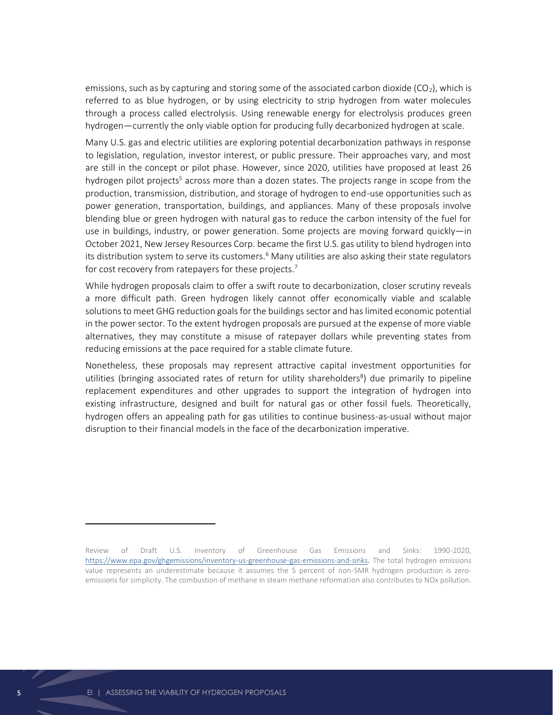emissions, such as by capturing and storing some of the associated carbon dioxide (CO<sub>2</sub>), which is referred to as blue hydrogen, or by using electricity to strip hydrogen from water molecules through a process called electrolysis. Using renewable energy for electrolysis produces green hydrogen—currently the only viable option for producing fully decarbonized hydrogen at scale.

Many U.S. gas and electric utilities are exploring potential decarbonization pathways in response to legislation, regulation, investor interest, or public pressure. Their approaches vary, and most are still in the concept or pilot phase. However, since 2020, utilities have proposed at least 26 hydrogen pilot projects<sup>5</sup> across more than a dozen states. The projects range in scope from the production, transmission, distribution, and storage of hydrogen to end-use opportunities such as power generation, transportation, buildings, and appliances. Many of these proposals involve blending blue or green hydrogen with natural gas to reduce the carbon intensity of the fuel for use in buildings, industry, or power generation. Some projects are moving forward quickly—in October 2021, New Jersey Resources Corp. became the first U.S. gas utility to blend hydrogen into its distribution system to serve its customers.<sup>6</sup> Many utilities are also asking their state regulators for cost recovery from ratepayers for these projects.<sup>7</sup>

While hydrogen proposals claim to offer a swift route to decarbonization, closer scrutiny reveals a more difficult path. Green hydrogen likely cannot offer economically viable and scalable solutions to meet GHG reduction goals for the buildings sector and has limited economic potential in the power sector. To the extent hydrogen proposals are pursued at the expense of more viable alternatives, they may constitute a misuse of ratepayer dollars while preventing states from reducing emissions at the pace required for a stable climate future.

Nonetheless, these proposals may represent attractive capital investment opportunities for utilities (bringing associated rates of return for utility shareholders<sup>8</sup>) due primarily to pipeline replacement expenditures and other upgrades to support the integration of hydrogen into existing infrastructure, designed and built for natural gas or other fossil fuels. Theoretically, hydrogen offers an appealing path for gas utilities to continue business-as-usual without major disruption to their financial models in the face of the decarbonization imperative.

Review of Draft U.S. Inventory of Greenhouse Gas Emissions and Sinks: 1990-2020, [https://www.epa.gov/ghgemissions/inventory-us-greenhouse-gas-emissions-and-sinks.](https://www.epa.gov/ghgemissions/inventory-us-greenhouse-gas-emissions-and-sinks) The total hydrogen emissions value represents an underestimate because it assumes the 5 percent of non-SMR hydrogen production is zeroemissions for simplicity. The combustion of methane in steam methane reformation also contributes to NOx pollution.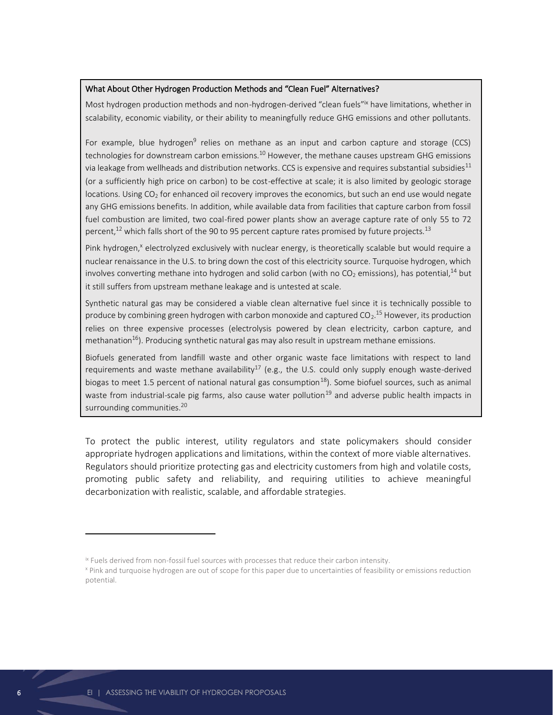#### What About Other Hydrogen Production Methods and "Clean Fuel" Alternatives?

Most hydrogen production methods and non-hydrogen-derived "clean fuels" have limitations, whether in scalability, economic viability, or their ability to meaningfully reduce GHG emissions and other pollutants.

For example, blue hydrogen<sup>9</sup> relies on methane as an input and carbon capture and storage (CCS) technologies for downstream carbon emissions.<sup>10</sup> However, the methane causes upstream GHG emissions via leakage from wellheads and distribution networks. CCS is expensive and requires substantial subsidies<sup>11</sup> (or a sufficiently high price on carbon) to be cost-effective at scale; it is also limited by geologic storage locations. Using  $CO<sub>2</sub>$  fo[r enhanced oil recovery](https://www.forbes.com/sites/uhenergy/2021/01/27/we-can-capture-carbon-but-what-then-turning-a-profit-will-be-key/?sh=22c06a6d3d90) improves the economics, but such an end use would negate any GHG emissions benefits. In addition, while available data from facilities that capture carbon from fossil fuel combustion are limited, two coal-fired power plants show an average capture rate of only 55 to 72 percent, $^{12}$  which falls short of the 90 to 95 percent capture rates promised by future projects. $^{13}$ 

Pink hydrogen,<sup>x</sup> electrolyzed exclusively with nuclear energy, is theoretically scalable but would require a nuclear renaissance in the U.S. to bring down the cost of this electricity source. Turquoise hydrogen, which involves converting methane into hydrogen and solid carbon (with no  $CO<sub>2</sub>$  emissions), has potential,<sup>14</sup> but it still suffers from upstream methane leakage and is untested at scale.

Synthetic natural gas may be considered a viable clean alternative fuel since it is technically possible to produce by combining green hydrogen with carbon monoxide and captured CO<sub>2</sub>.<sup>15</sup> However, its production relies on three expensive processes (electrolysis powered by clean electricity, carbon capture, and methanation<sup>16</sup>). Producing synthetic natural gas may also result in upstream methane emissions.

Biofuels generated from landfill waste and other organic waste face limitations with respect to land requirements and waste methane availability<sup>17</sup> (e.g., the U.S. could only supply enough waste-derived biogas to meet 1.5 percent of national natural gas consumption<sup>18</sup>). Some biofuel sources, such as animal waste from industrial-scale pig farms, also cause water pollution<sup>19</sup> and adverse public health impacts in surrounding communities.<sup>20</sup>

To protect the public interest, utility regulators and state policymakers should consider appropriate hydrogen applications and limitations, within the context of more viable alternatives. Regulators should prioritize protecting gas and electricity customers from high and volatile costs, promoting public safety and reliability, and requiring utilities to achieve meaningful decarbonization with realistic, scalable, and affordable strategies.

ix Fuels derived from non-fossil fuel sources with processes that reduce their carbon intensity.

<sup>x</sup> Pink and turquoise hydrogen are out of scope for this paper due to uncertainties of feasibility or emissions reduction potential.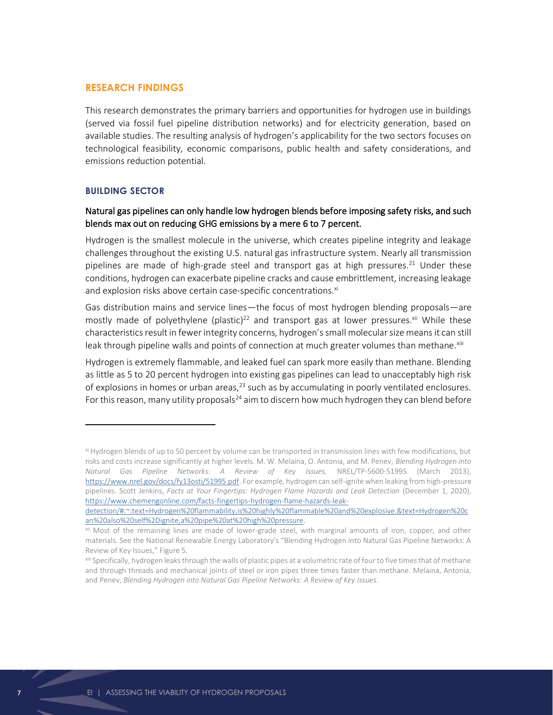#### **RESEARCH FINDINGS**

This research demonstrates the primary barriers and opportunities for hydrogen use in buildings (served via fossil fuel pipeline distribution networks) and for electricity generation, based on available studies. The resulting analysis of hydrogen's applicability for the two sectors focuses on technological feasibility, economic comparisons, public health and safety considerations, and emissions reduction potential.

#### **BUILDING SECTOR**

## Natural gas pipelines can only handle low hydrogen blends before imposing safety risks, and such blends max out on reducing GHG emissions by a mere 6 to 7 percent.

Hydrogen is the smallest molecule in the universe, which creates pipeline integrity and leakage challenges throughout the existing U.S. natural gas infrastructure system. Nearly all transmission pipelines are made of high-grade steel and transport gas at high pressures.<sup>21</sup> Under these conditions, hydrogen can exacerbate pipeline cracks and cause embrittlement, increasing leakage and explosion risks above certain case-specific concentrations.<sup>xi</sup>

Gas distribution mains and service lines—the focus of most hydrogen blending proposals—are mostly made of polyethylene (plastic)<sup>22</sup> and transport gas at lower pressures.<sup>xii</sup> While these characteristics result in fewer integrity concerns, hydrogen's small molecular size means it can still leak through pipeline walls and points of connection at much greater volumes than methane.<sup>xiii</sup>

Hydrogen is extremely flammable, and leaked fuel can spark more easily than methane. Blending as little as 5 to 20 percent hydrogen into existing gas pipelines can lead to unacceptably high risk of explosions in homes or urban areas,<sup>23</sup> such as by accumulating in poorly ventilated enclosures. For this reason, many utility proposals<sup>24</sup> aim to discern how much hydrogen they can blend before

xi Hydrogen blends of up to 50 percent by volume can be transported in transmission lines with few modifications, but risks and costs increase significantly at higher levels. M. W. Melaina, O. Antonia, and M. Penev, *Blending Hydrogen into Natural Gas Pipeline Networks: A Review of Key Issues,* NREL/TP-5600-51995 (March 2013), [https://www.nrel.gov/docs/fy13osti/51995.pdf.](https://www.nrel.gov/docs/fy13osti/51995.pdf) For example, hydrogen can self-ignite when leaking from high-pressure pipelines. Scott Jenkins, *Facts at Your Fingertips: Hydrogen Flame Hazards and Leak Detection* (December 1, 2020), [https://www.chemengonline.com/facts-fingertips-hydrogen-flame-hazards-leak-](https://www.chemengonline.com/facts-fingertips-hydrogen-flame-hazards-leak-detection/#:~:text=Hydrogen%20flammability,is%20highly%20flammable%20and%20explosive.&text=Hydrogen%20can%20also%20self%2Dignite,a%20pipe%20at%20high%20pressure)

[detection/#:~:text=Hydrogen%20flammability,is%20highly%20flammable%20and%20explosive.&text=Hydrogen%20c](https://www.chemengonline.com/facts-fingertips-hydrogen-flame-hazards-leak-detection/#:~:text=Hydrogen%20flammability,is%20highly%20flammable%20and%20explosive.&text=Hydrogen%20can%20also%20self%2Dignite,a%20pipe%20at%20high%20pressure) [an%20also%20self%2Dignite,a%20pipe%20at%20high%20pressure.](https://www.chemengonline.com/facts-fingertips-hydrogen-flame-hazards-leak-detection/#:~:text=Hydrogen%20flammability,is%20highly%20flammable%20and%20explosive.&text=Hydrogen%20can%20also%20self%2Dignite,a%20pipe%20at%20high%20pressure)

xii Most of the remaining lines are made of lower-grade steel, with marginal amounts of iron, copper, and other materials. See the National Renewable Energy Laboratory's "Blending Hydrogen into Natural Gas Pipeline Networks: A Review of Key Issues," Figure 5.

xiii Specifically, hydrogen leaks through the walls of plastic pipes at a volumetric rate of four to five times that of methane and through threads and mechanical joints of steel or iron pipes three times faster than methane. Melaina, Antonia, and Penev, *Blending Hydrogen into Natural Gas Pipeline Networks: A Review of Key Issues*.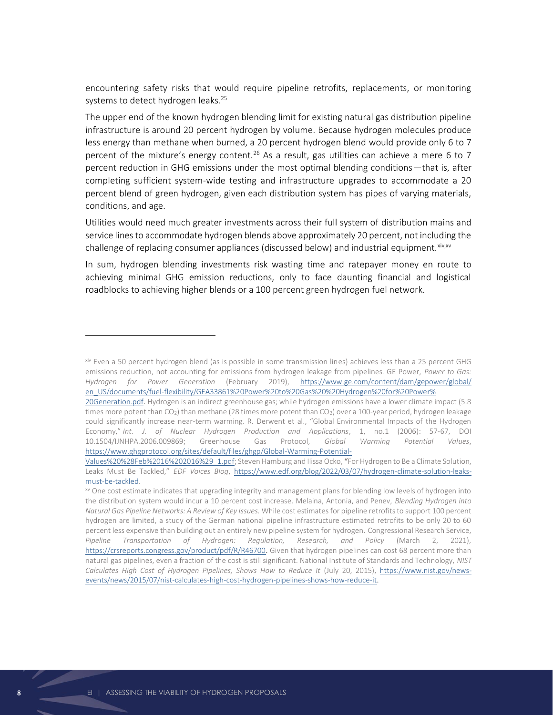encountering safety risks that would require pipeline retrofits, replacements, or monitoring systems to detect hydrogen leaks.<sup>25</sup>

The upper end of the known hydrogen blending limit for existing natural gas distribution pipeline infrastructure is around 20 percent hydrogen by volume. Because hydrogen molecules produce less energy than methane when burned, a 20 percent hydrogen blend would provide only 6 to 7 percent of the mixture's energy content.<sup>26</sup> As a result, gas utilities can achieve a mere 6 to 7 percent reduction in GHG emissions under the most optimal blending conditions—that is, after completing sufficient system-wide testing and infrastructure upgrades to accommodate a 20 percent blend of green hydrogen, given each distribution system has pipes of varying materials, conditions, and age.

Utilities would need much greater investments across their full system of distribution mains and service lines to accommodate hydrogen blends above approximately 20 percent, not including the challenge of replacing consumer appliances (discussed below) and industrial equipment. Xiv, xv

In sum, hydrogen blending investments risk wasting time and ratepayer money en route to achieving minimal GHG emission reductions, only to face daunting financial and logistical roadblocks to achieving higher blends or a 100 percent green hydrogen fuel network.

xiv Even a 50 percent hydrogen blend (as is possible in some transmission lines) achieves less than a 25 percent GHG emissions reduction, not accounting for emissions from hydrogen leakage from pipelines. GE Power, *Power to Gas: Hydrogen for Power Generation* (February 2019), [https://www.ge.com/content/dam/gepower/global/](https://www.ge.com/content/dam/gepower/global/%20en_US/documents/fuel-flexibility/GEA33861%20Power%20to%20Gas%20%20Hydrogen%20for%20Power%25%2020Generation.pdf)  [en\\_US/documents/fuel-flexibility/GEA33861%20Power%20to%20Gas%20%20Hydrogen%20for%20Power%](https://www.ge.com/content/dam/gepower/global/%20en_US/documents/fuel-flexibility/GEA33861%20Power%20to%20Gas%20%20Hydrogen%20for%20Power%25%2020Generation.pdf) 

[<sup>20</sup>Generation.pdf.](https://www.ge.com/content/dam/gepower/global/%20en_US/documents/fuel-flexibility/GEA33861%20Power%20to%20Gas%20%20Hydrogen%20for%20Power%25%2020Generation.pdf) Hydrogen is an indirect greenhouse gas; while hydrogen emissions have a lower climate impact (5.8 times more potent than CO<sub>[2](https://www.ghgprotocol.org/sites/default/files/ghgp/Global-Warming-Potential-Values%20%28Feb%2016%202016%29_1.pdf)</sub>) than methane (28 times more potent than CO<sub>2</sub>) over a 100-year period, hydrogen leakage could significantly increase near-term warming. R. Derwent et al., "Global Environmental Impacts of the Hydrogen Economy," *Int. J. of Nuclear Hydrogen Production and Applications*, 1, no.1 (2006): 57-67, DOI 10.1504/IJNHPA.2006.009869; Greenhouse Gas Protocol, *Global Warming Potential Values*, [https://www.ghgprotocol.org/sites/default/files/ghgp/Global-Warming-Potential-](https://www.ghgprotocol.org/sites/default/files/ghgp/Global-Warming-Potential-Values%20%28Feb%2016%202016%29_1.pdf)

[Values%20%28Feb%2016%202016%29\\_1.pdf;](https://www.ghgprotocol.org/sites/default/files/ghgp/Global-Warming-Potential-Values%20%28Feb%2016%202016%29_1.pdf) Steven Hamburg and Ilissa Ocko, "For Hydrogen to Be a Climate Solution, Leaks Must Be Tackled," *EDF Voices Blog*, [https://www.edf.org/blog/2022/03/07/hydrogen-climate-solution-leaks](https://www.edf.org/blog/2022/03/07/hydrogen-climate-solution-leaks-must-be-tackled)[must-be-tackled.](https://www.edf.org/blog/2022/03/07/hydrogen-climate-solution-leaks-must-be-tackled)

xv One cost estimate indicates that upgrading integrity and management plans for blending low levels of hydrogen into the distribution system would incur a 10 percent cost increase. Melaina, Antonia, and Penev, *Blending Hydrogen into Natural Gas Pipeline Networks: A Review of Key Issues.* While cost estimates for pipeline retrofits to support 100 percent hydrogen are limited, a study of the German national pipeline infrastructure estimated retrofits to be only 20 to 60 percent less expensive than building out an entirely new pipeline system for hydrogen. Congressional Research Service, *Pipeline Transportation of Hydrogen: Regulation, Research, and Policy* (March 2, 2021), [https://crsreports.congress.gov/product/pdf/R/R46700.](https://crsreports.congress.gov/product/pdf/R/R46700) Given that hydrogen pipelines can cost 68 percent more than natural gas pipelines, even a fraction of the cost is still significant. National Institute of Standards and Technology, *NIST Calculates High Cost of Hydrogen Pipelines, Shows How to Reduce It* (July 20, 2015), [https://www.nist.gov/news](https://www.nist.gov/news-events/news/2015/07/nist-calculates-high-cost-hydrogen-pipelines-shows-how-reduce-it#:~:text=NIST%20researchers%20calculated%20that%20hydrogen,of%20only%20about% 2010%20percent)[events/news/2015/07/nist-calculates-high-cost-hydrogen-pipelines-shows-how-reduce-it.](https://www.nist.gov/news-events/news/2015/07/nist-calculates-high-cost-hydrogen-pipelines-shows-how-reduce-it#:~:text=NIST%20researchers%20calculated%20that%20hydrogen,of%20only%20about% 2010%20percent)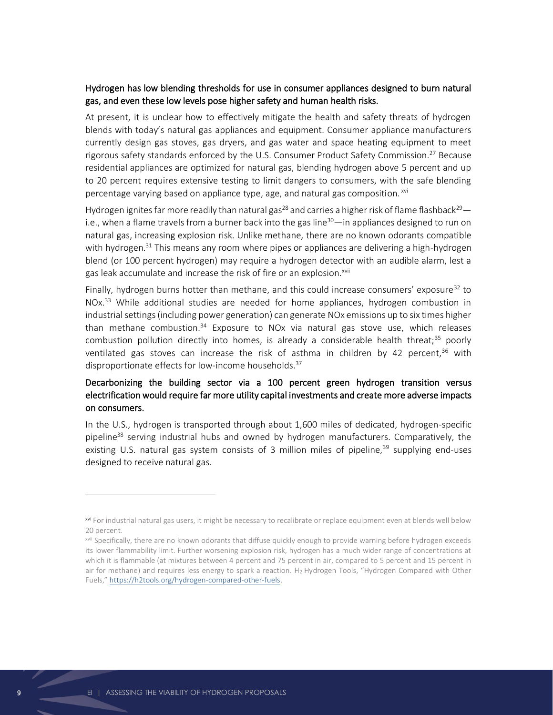## Hydrogen has low blending thresholds for use in consumer appliances designed to burn natural gas, and even these low levels pose higher safety and human health risks.

At present, it is unclear how to effectively mitigate the health and safety threats of hydrogen blends with today's natural gas appliances and equipment. Consumer appliance manufacturers currently design gas stoves, gas dryers, and gas water and space heating equipment to meet rigorous safety standards enforced by the U.S. Consumer Product Safety Commission.<sup>27</sup> Because residential appliances are optimized for natural gas, blending hydrogen above 5 percent and up to 20 percent requires extensive testing to limit dangers to consumers, with the safe blending percentage varying based on appliance type, age, and natural gas composition. xvi

Hydrogen ignites far more readily than natural gas<sup>28</sup> and carries a higher risk of flame flashback<sup>29</sup> i.e., when a flame travels from a burner back into the gas line<sup>30</sup>—in appliances designed to run on natural gas, increasing explosion risk. Unlike methane, there are no known odorants compatible with hydrogen.<sup>31</sup> This means any room where pipes or appliances are delivering a high-hydrogen blend (or 100 percent hydrogen) may require a hydrogen detector with an audible alarm, lest a gas leak accumulate and increase the risk of fire or an explosion.<sup>xvii</sup>

Finally, hydrogen burns hotter than methane, and this could increase consumers' exposure<sup>32</sup> to NOx.<sup>33</sup> While additional studies are needed for home appliances, hydrogen combustion in industrial settings (including power generation) can generate NOx emissions up to six times higher than methane combustion.<sup>34</sup> Exposure to NOx via natural gas stove use, which releases combustion pollution directly into homes, is already a considerable health threat;<sup>35</sup> poorly ventilated gas stoves can increase the risk of asthma in children by 42 percent,<sup>36</sup> with disproportionate effects for low-income households.<sup>37</sup>

## Decarbonizing the building sector via a 100 percent green hydrogen transition versus electrification would require far more utility capital investments and create more adverse impacts on consumers.

In the U.S., hydrogen is transported through about 1,600 miles of dedicated, hydrogen-specific pipeline<sup>38</sup> serving industrial hubs and owned by hydrogen manufacturers. Comparatively, the existing U.S. natural gas system consists of 3 million miles of pipeline, $39$  supplying end-uses designed to receive natural gas.

xvi For industrial natural gas users, it might be necessary to recalibrate or replace equipment even at blends well below 20 percent.

xvii Specifically, there are no known odorants that diffuse quickly enough to provide warning before hydrogen exceeds its lower flammability limit. Further worsening explosion risk, hydrogen has a much wider range of concentrations at which it is flammable (at mixtures between 4 percent and 75 percent in air, compared to 5 percent and 15 percent in air for methane) and requires less energy to spark a reaction. H<sub>2</sub> Hydrogen Tools, "Hydrogen Compared with Other Fuels," [https://h2tools.org/hydrogen-compared-other-fuels.](https://h2tools.org/hydrogen-compared-other-fuels)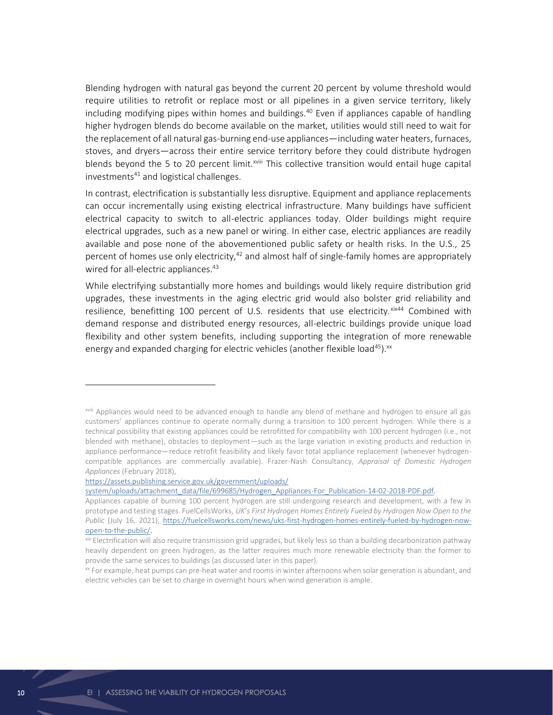Blending hydrogen with natural gas beyond the current 20 percent by volume threshold would require utilities to retrofit or replace most or all pipelines in a given service territory, likely including modifying pipes within homes and buildings.<sup>40</sup> Even if appliances capable of handling higher hydrogen blends do become available on the market, utilities would still need to wait for the replacement of all natural gas-burning end-use appliances—including water heaters, furnaces, stoves, and dryers—across their entire service territory before they could distribute hydrogen blends beyond the 5 to 20 percent limit.<sup>xviii</sup> This collective transition would entail huge capital investments<sup>41</sup> and logistical challenges.

In contrast, electrification is substantially less disruptive. Equipment and appliance replacements can occur incrementally using existing electrical infrastructure. Many buildings have sufficient electrical capacity to switch to all-electric appliances today. Older buildings might require electrical upgrades, such as a new panel or wiring. In either case, electric appliances are readily available and pose none of the abovementioned public safety or health risks. In the U.S., 25 percent of homes use only electricity,<sup>42</sup> and almost half of single-family homes are appropriately wired for all-electric appliances.<sup>43</sup>

While electrifying substantially more homes and buildings would likely require distribution grid upgrades, these investments in the aging electric grid would also bolster grid reliability and resilience, benefitting 100 percent of U.S. residents that use electricity. $x^{ix44}$  Combined with demand response and distributed energy resources, all-electric buildings provide unique load flexibility and other system benefits, including supporting the integration of more renewable energy and expanded charging for electric vehicles (another flexible load<sup>45</sup>).<sup>xx</sup>

[https://assets.publishing.service.gov.uk/government/uploads/](https://assets.publishing.service.gov.uk/government/uploads/%20system/uploads/attachment_data/file/699685/Hydrogen_Appliances-For_Publication-14-02-2018-PDF.pdf) 

xviii Appliances would need to be advanced enough to handle any blend of methane and hydrogen to ensure all gas customers' appliances continue to operate normally during a transition to 100 percent hydrogen. While there is a technical possibility that existing appliances could be retrofitted for compatibility with 100 percent hydrogen (i.e., not blended with methane), obstacles to deployment—such as the large variation in existing products and reduction in appliance performance—reduce retrofit feasibility and likely favor total appliance replacement (whenever hydrogencompatible appliances are commercially available). Frazer-Nash Consultancy, *Appraisal of Domestic Hydrogen Appliances* (February 2018),

[system/uploads/attachment\\_data/file/699685/Hydrogen\\_Appliances-For\\_Publication-14-02-2018-PDF.pdf.](https://assets.publishing.service.gov.uk/government/uploads/%20system/uploads/attachment_data/file/699685/Hydrogen_Appliances-For_Publication-14-02-2018-PDF.pdf)

Appliances capable of burning 100 percent hydrogen are still undergoing research and development, with a few in prototype and testing stages. FuelCellsWorks, *UK's First Hydrogen Homes Entirely Fueled by Hydrogen Now Open to the Public* (July 16, 2021), [https://fuelcellsworks.com/news/uks-first-hydrogen-homes-entirely-fueled-by-hydrogen-now](https://fuelcellsworks.com/news/uks-first-hydrogen-homes-entirely-fueled-by-hydrogen-now-open-to-the-public/)[open-to-the-public/.](https://fuelcellsworks.com/news/uks-first-hydrogen-homes-entirely-fueled-by-hydrogen-now-open-to-the-public/)

xix Electrification will also require transmission grid upgrades, but likely less so than a building decarbonization pathway heavily dependent on green hydrogen, as the latter requires much more renewable electricity than the former to provide the same services to buildings (as discussed later in this paper).

xx For example, heat pumps can pre-heat water and rooms in winter afternoons when solar generation is abundant, and electric vehicles can be set to charge in overnight hours when wind generation is ample.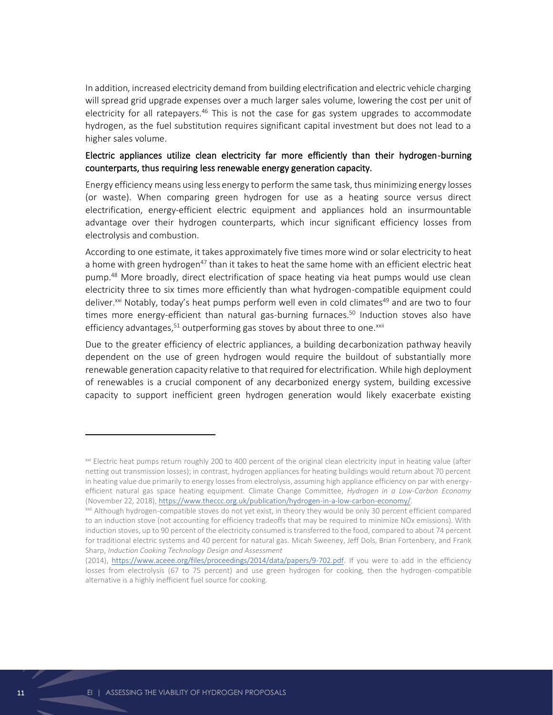In addition, increased electricity demand from building electrification and electric vehicle charging will spread grid upgrade expenses over a much larger sales volume, lowering the cost per unit of electricity for all ratepayers.<sup>46</sup> This is not the case for gas system upgrades to accommodate hydrogen, as the fuel substitution requires significant capital investment but does not lead to a higher sales volume.

## Electric appliances utilize clean electricity far more efficiently than their hydrogen-burning counterparts, thus requiring less renewable energy generation capacity.

Energy efficiency means using less energy to perform the same task, thus minimizing energy losses (or waste). When comparing green hydrogen for use as a heating source versus direct electrification, energy-efficient electric equipment and appliances hold an insurmountable advantage over their hydrogen counterparts, which incur significant efficiency losses from electrolysis and combustion.

According to one estimate, it takes approximately five times more wind or solar electricity to heat a home with green hydrogen<sup>47</sup> than it takes to heat the same home with an efficient electric heat pump. <sup>48</sup> More broadly, direct electrification of space heating via heat pumps would use clean electricity three to six times more efficiently than what hydrogen-compatible equipment could deliver.<sup>xxi</sup> Notably, today's heat pumps perform well even in cold climates<sup>49</sup> and are two to four times more energy-efficient than natural gas-burning furnaces.<sup>50</sup> Induction stoves also have efficiency advantages, $51$  outperforming gas stoves by about three to one. $^{xxii}$ 

Due to the greater efficiency of electric appliances, a building decarbonization pathway heavily dependent on the use of green hydrogen would require the buildout of substantially more renewable generation capacity relative to that required for electrification. While high deployment of renewables is a crucial component of any decarbonized energy system, building excessive capacity to support inefficient green hydrogen generation would likely exacerbate existing

xxi Electric heat pumps return roughly 200 to 400 percent of the original clean electricity input in heating value (after netting out transmission losses); in contrast, hydrogen appliances for heating buildings would return about 70 percent in heating value due primarily to energy losses from electrolysis, assuming high appliance efficiency on par with energyefficient natural gas space heating equipment. Climate Change Committee, *Hydrogen in a Low-Carbon Economy* (November 22, 2018), [https://www.theccc.org.uk/publication/hydrogen-in-a-low-carbon-economy/.](https://www.theccc.org.uk/publication/hydrogen-in-a-low-carbon-economy/)

xxii Although hydrogen-compatible stoves do not yet exist, in theory they would be only 30 percent efficient compared to an induction stove (not accounting for efficiency tradeoffs that may be required to minimize NOx emissions). With induction stoves, up to 90 percent of the electricity consumed is transferred to the food, compared to about 74 percent for traditional electric systems and 40 percent for natural gas. Micah Sweeney, Jeff Dols, Brian Fortenbery, and Frank Sharp, *Induction Cooking Technology Design and Assessment*

<sup>(2014),</sup> [https://www.aceee.org/files/proceedings/2014/data/papers/9-702.pdf.](https://www.aceee.org/files/proceedings/2014/data/papers/9-702.pdf) If you were to add in the efficiency losses from electrolysis (67 to 75 percent) and use green hydrogen for cooking, then the hydrogen-compatible alternative is a highly inefficient fuel source for cooking.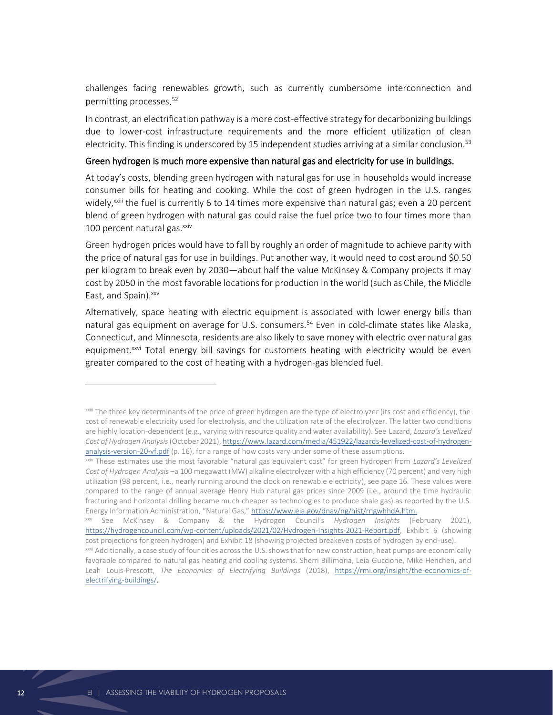challenges facing renewables growth, such as currently cumbersome interconnection and permitting processes. 52

In contrast, an electrification pathway is a more cost-effective strategy for decarbonizing buildings due to lower-cost infrastructure requirements and the more efficient utilization of clean electricity. This finding is underscored by 15 independent studies arriving at a similar conclusion.<sup>53</sup>

#### Green hydrogen is much more expensive than natural gas and electricity for use in buildings.

At today's costs, blending green hydrogen with natural gas for use in households would increase consumer bills for heating and cooking. While the cost of green hydrogen in the U.S. ranges widely, $^{x}$ <sup>xxiii</sup> the fuel is currently 6 to 14 times more expensive than natural gas; even a 20 percent blend of green hydrogen with natural gas could raise the fuel price two to four times more than 100 percent natural gas.<sup>xxiv</sup>

Green hydrogen prices would have to fall by roughly an order of magnitude to achieve parity with the price of natural gas for use in buildings. Put another way, it would need to cost around \$0.50 per kilogram to break even by 2030—about half the value McKinsey & Company projects it may cost by 2050 in the most favorable locations for production in the world (such as Chile, the Middle East, and Spain).<sup>xxv</sup>

Alternatively, space heating with electric equipment is associated with lower energy bills than natural gas equipment on average for U.S. consumers.<sup>54</sup> Even in cold-climate states like Alaska, Connecticut, and Minnesota, residents are also likely to save money with electric over natural gas equipment.<sup>xxvi</sup> Total energy bill savings for customers heating with electricity would be even greater compared to the cost of heating with a hydrogen-gas blended fuel.

xxiii The three key determinants of the price of green hydrogen are the type of electrolyzer (its cost and efficiency), the cost of renewable electricity used for electrolysis, and the utilization rate of the electrolyzer. The latter two conditions are highly location-dependent (e.g., varying with resource quality and water availability). See Lazard, *Lazard's Levelized Cost of Hydrogen Analysis*(October 2021)[, https://www.lazard.com/media/451922/lazards-levelized-cost-of-hydrogen](https://www.lazard.com/media/451922/lazards-levelized-cost-of-hydrogen-analysis-version-20-vf.pdf)[analysis-version-20-vf.pdf](https://www.lazard.com/media/451922/lazards-levelized-cost-of-hydrogen-analysis-version-20-vf.pdf) (p. 16), for a range of how costs vary under some of these assumptions.

xxiv These estimates use the most favorable "natural gas equivalent cost" for green hydrogen from *Lazard's Levelized Cost of Hydrogen Analysis* –a 100 megawatt (MW) alkaline electrolyzer with a high efficiency (70 percent) and very high utilization (98 percent, i.e., nearly running around the clock on renewable electricity), see page 16. These values were compared to the range of annual average Henry Hub natural gas prices since 2009 (i.e., around the time hydraulic fracturing and horizontal drilling became much cheaper as technologies to produce shale gas) as reported by the U.S. Energy Information Administration, "Natural Gas," [https://www.eia.gov/dnav/ng/hist/rngwhhdA.htm.](https://www.eia.gov/dnav/ng/hist/rngwhhdA.htm)

xxv See McKinsey & Company & the Hydrogen Council's *Hydrogen Insights* (February 2021), [https://hydrogencouncil.com/wp-content/uploads/2021/02/Hydrogen-Insights-2021-Report.pdf,](https://hydrogencouncil.com/wp-content/uploads/2021/02/Hydrogen-Insights-2021-Report.pdf) Exhibit 6 (showing cost projections for green hydrogen) and Exhibit 18 (showing projected breakeven costs of hydrogen by end-use).

xxvi Additionally, [a case](https://rmi.org/insight/the-economics-of-electrifying-buildings/) study of four cities across the U.S. shows that for new construction, heat pumps are economically favorable compared to natural gas heating and cooling systems. Sherri Billimoria, Leia Guccione, Mike Henchen, and Leah Louis-Prescott, *The Economics of Electrifying Buildings* (2018), [https://rmi.org/insight/the-economics-of](https://rmi.org/insight/the-economics-of-electrifying-buildings/)[electrifying-buildings/.](https://rmi.org/insight/the-economics-of-electrifying-buildings/)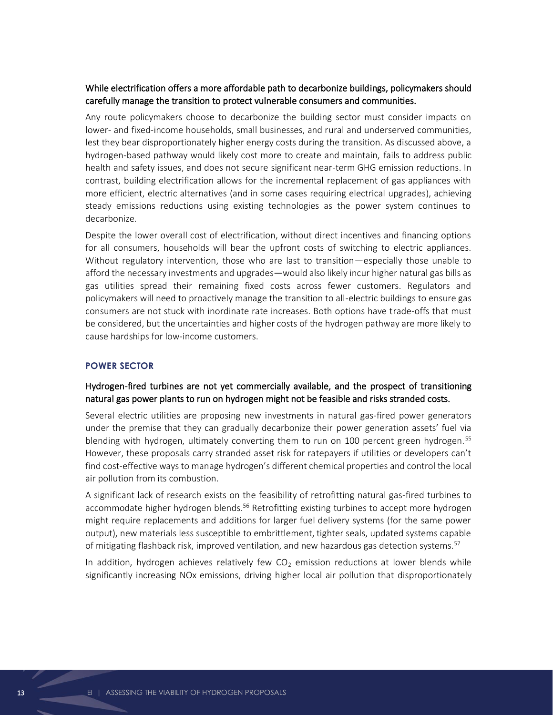## While electrification offers a more affordable path to decarbonize buildings, policymakers should carefully manage the transition to protect vulnerable consumers and communities.

Any route policymakers choose to decarbonize the building sector must consider impacts on lower- and fixed-income households, small businesses, and rural and underserved communities, lest they bear disproportionately higher energy costs during the transition. As discussed above, a hydrogen-based pathway would likely cost more to create and maintain, fails to address public health and safety issues, and does not secure significant near-term GHG emission reductions. In contrast, building electrification allows for the incremental replacement of gas appliances with more efficient, electric alternatives (and in some cases requiring electrical upgrades), achieving steady emissions reductions using existing technologies as the power system continues to decarbonize.

Despite the lower overall cost of electrification, without direct incentives and financing options for all consumers, households will bear the upfront costs of switching to electric appliances. Without regulatory intervention, those who are last to transition—especially those unable to afford the necessary investments and upgrades—would also likely incur higher natural gas bills as gas utilities spread their remaining fixed costs across fewer customers. Regulators and policymakers will need to proactively manage the transition to all-electric buildings to ensure gas consumers are not stuck with inordinate rate increases. Both options have trade-offs that must be considered, but the uncertainties and higher costs of the hydrogen pathway are more likely to cause hardships for low-income customers.

#### **POWER SECTOR**

## Hydrogen-fired turbines are not yet commercially available, and the prospect of transitioning natural gas power plants to run on hydrogen might not be feasible and risks stranded costs.

Several electric utilities are proposing new investments in natural gas-fired power generators under the premise that they can gradually decarbonize their power generation assets' fuel via blending with hydrogen, ultimately converting them to run on 100 percent green hydrogen.<sup>55</sup> However, these proposals carry stranded asset risk for ratepayers if utilities or developers can't find cost-effective ways to manage hydrogen's different chemical properties and control the local air pollution from its combustion.

A significant lack of research exists on the feasibility of retrofitting natural gas-fired turbines to accommodate higher hydrogen blends.<sup>56</sup> Retrofitting existing turbines to accept more hydrogen might require replacements and additions for larger fuel delivery systems (for the same power output), new materials less susceptible to embrittlement, tighter seals, updated systems capable of mitigating flashback risk, improved ventilation, and new hazardous gas detection systems.<sup>57</sup>

In addition, hydrogen achieves relatively few  $CO<sub>2</sub>$  emission reductions at lower blends while significantly increasing NOx emissions, driving higher local air pollution that disproportionately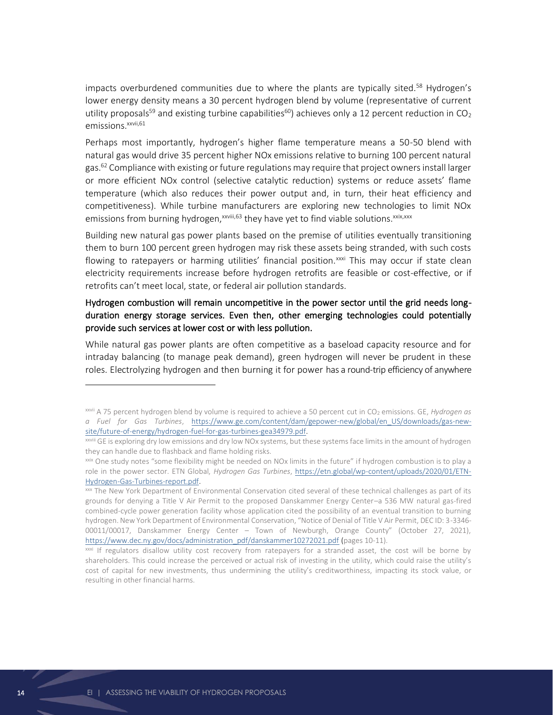impacts overburdened communities due to where the plants are typically sited.<sup>58</sup> Hydrogen's lower energy density means a 30 percent hydrogen blend by volume (representative of current utility proposals<sup>59</sup> and existing turbine capabilities<sup>60</sup>) achieves only a 12 percent reduction in CO<sub>2</sub> emissions.<sup>xxvii,61</sup>

Perhaps most importantly, hydrogen's higher flame temperature means a 50-50 blend with natural gas would drive 35 percent higher NOx emissions relative to burning 100 percent natural gas.<sup>62</sup> Compliance with existing or future regulations may require that project owners install larger or more efficient NOx control (selective catalytic reduction) systems or reduce assets' flame temperature (which also reduces their power output and, in turn, their heat efficiency and competitiveness). While turbine manufacturers are exploring new technologies to limit NOx emissions from burning hydrogen, xxviii,63 they have yet to find viable solutions. xxix, xxx

Building new natural gas power plants based on the premise of utilities eventually transitioning them to burn 100 percent green hydrogen may risk these assets being stranded, with such costs flowing to ratepayers or harming utilities' financial position.<sup>xxxi</sup> This may occur if state clean electricity requirements increase before hydrogen retrofits are feasible or cost-effective, or if retrofits can't meet local, state, or federal air pollution standards.

## Hydrogen combustion will remain uncompetitive in the power sector until the grid needs longduration energy storage services. Even then, other emerging technologies could potentially provide such services at lower cost or with less pollution.

While natural gas power plants are often competitive as a baseload capacity resource and for intraday balancing (to manage peak demand), green hydrogen will never be prudent in these roles. Electrolyzing hydrogen and then burning it for power has a round-trip efficiency of anywhere

xxvii A 75 percent hydrogen blend by volume is required to achieve a 50 percent cut in CO<sup>2</sup> emissions. GE, *Hydrogen as a Fuel for Gas Turbines*, [https://www.ge.com/content/dam/gepower-new/global/en\\_US/downloads/gas-new](https://www.ge.com/content/dam/gepower-new/global/en_US/downloads/gas-new-site/future-of-energy/hydrogen-fuel-for-gas-turbines-gea34979.pdf)[site/future-of-energy/hydrogen-fuel-for-gas-turbines-gea34979.pdf.](https://www.ge.com/content/dam/gepower-new/global/en_US/downloads/gas-new-site/future-of-energy/hydrogen-fuel-for-gas-turbines-gea34979.pdf)

xxviii GE is exploring dry low emissions and dry low NOx systems, but these systems face limits in the amount of hydrogen they can handle due to flashback and flame holding risks.

xxix One study notes "some flexibility might be needed on NOx limits in the future" if hydrogen combustion is to play a role in the power sector. ETN Global, *Hydrogen Gas Turbines*, [https://etn.global/wp-content/uploads/2020/01/ETN-](https://etn.global/wp-content/uploads/2020/01/ETN-Hydrogen-Gas-Turbines-report.pdf)[Hydrogen-Gas-Turbines-report.pdf.](https://etn.global/wp-content/uploads/2020/01/ETN-Hydrogen-Gas-Turbines-report.pdf)

xxx The New York Department of Environmental Conservation cited several of these technical challenges as part of its grounds for denying a Title V Air Permit to the proposed Danskammer Energy Center–a 536 MW natural gas-fired combined-cycle power generation facility whose application cited the possibility of an eventual transition to burning hydrogen. New York Department of Environmental Conservation, "Notice of Denial of Title V Air Permit, DEC ID: 3-3346- 00011/00017, Danskammer Energy Center – Town of Newburgh, Orange County" (October 27, 2021), [https://www.dec.ny.gov/docs/administration\\_pdf/danskammer10272021.pdf](https://www.dec.ny.gov/docs/administration_pdf/danskammer10272021.pdf) (pages 10-11).

<sup>&</sup>lt;sup>xxxi</sup> If regulators disallow utility cost recovery from ratepayers for a stranded asset, the cost will be borne by shareholders. This could increase the perceived or actual risk of investing in the utility, which could raise the utility's cost of capital for new investments, thus undermining the utility's creditworthiness, impacting its stock value, or resulting in other financial harms.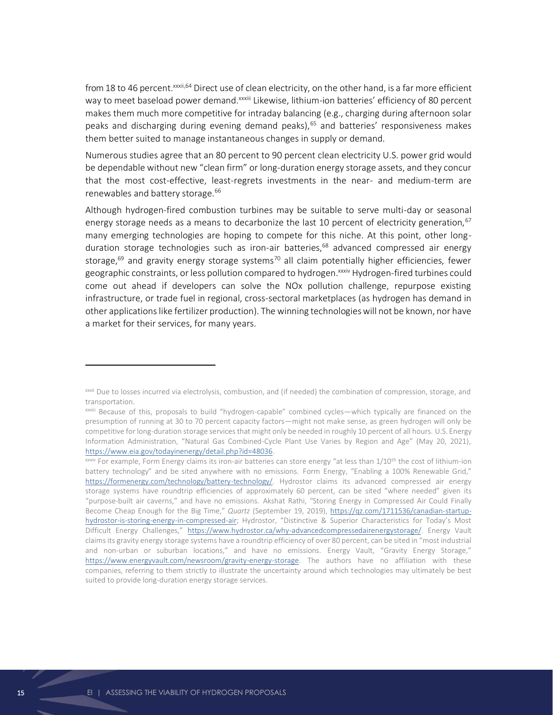from 18 to 46 percent.<sup>xxxii,64</sup> Direct use of clean electricity, on the other hand, is a far more efficient way to meet baseload power demand.<sup>xxxiii</sup> Likewise, lithium-ion batteries' e[f](https://www.eia.gov/todayinenergy/detail.php?id=46756)ficiency of 80 percent makes them much more competitive for intraday balancing (e.g., charging during afternoon solar peaks and discharging during evening demand peaks),<sup>65</sup> and batteries' responsiveness makes them better suited to manage instantaneous changes in supply or demand.

Numerous studies agree that an 80 percent to 90 percent clean electricity U.S. power grid would be dependable without new "clean firm" or long-duration energy storage assets, and they concur that the most cost-effective, least-regrets investments in the near- and medium-term are renewables and battery storage.<sup>66</sup>

Although hydrogen-fired combustion turbines may be suitable to serve multi-day or seasonal energy storage needs as a means to decarbonize the last 10 percent of electricity generation,  $67$ many emerging technologies are hoping to compete for this niche. At this point, other longduration storage technologies such as iron-air batteries,<sup>68</sup> advanced compressed air energy storage,<sup>69</sup> and gravity energy storage systems<sup>70</sup> all claim potentially higher efficiencies, fewer geographic constraints, or less pollution compared to hydrogen. XXXIV Hydrogen-fired turbines could come out ahead if developers can solve the NOx pollution challenge, repurpose existing infrastructure, or trade fuel in regional, cross-sectoral marketplaces (as hydrogen has demand in other applications like fertilizer production). The winning technologies will not be known, nor have a market for their services, for many years.

xxxii Due to losses incurred via electrolysis, combustion, and (if needed) the combination of compression, storage, and transportation.

xxxiii Because of this, proposals to build "hydrogen-capable" combined cycles—which typically are financed on the presumption of running at 30 to 70 percent capacity factors—might not make sense, as green hydrogen will only be competitive for long-duration storage services that might only be needed in roughly 10 percent of all hours. U.S. Energy Information Administration, "Natural Gas Combined-Cycle Plant Use Varies by Region and Age" (May 20, 2021), [https://www.eia.gov/todayinenergy/detail.php?id=48036.](https://www.eia.gov/todayinenergy/detail.php?id=48036)

xxxiv For example, Form Energy claims its iron-air batteries can store energy "at less than 1/10<sup>th</sup> the cost of lithium-ion battery technology" and be sited anywhere with no emissions. Form Energy, "Enabling a 100% Renewable Grid," [https://formenergy.com/technology/battery-technology/.](https://formenergy.com/technology/battery-technology/) Hydrostor claims its advanced compressed air energy storage systems have roundtrip efficiencies of approximately 60 percent, can be sited "where needed" given its "purpose-built air caverns," and have no emissions. Akshat Rathi, "Storing Energy in Compressed Air Could Finally Become Cheap Enough for the Big Time," *Quartz* (September 19, 2019), [https://qz.com/1711536/canadian-startup](https://qz.com/1711536/canadian-startup-hydrostor-is-storing-energy-in-compressed-air)[hydrostor-is-storing-energy-in-compressed-air](https://qz.com/1711536/canadian-startup-hydrostor-is-storing-energy-in-compressed-air); Hydrostor, "Distinctive & Superior Characteristics for Today's Most Difficult Energy Challenges," [https://www.hydrostor.ca/why-advancedcompressedairenergystorage/.](https://www.hydrostor.ca/why-advancedcompressedairenergystorage/) Energy Vault claims its gravity energy storage systems have a roundtrip efficiency of over 80 percent, can be sited in "most industrial and non-urban or suburban locations," and have no emissions. Energy Vault, "Gravity Energy Storage," [https://www.energyvault.com/newsroom/gravity-energy-storage.](https://www.energyvault.com/newsroom/gravity-energy-storage) The authors have no affiliation with these companies, referring to them strictly to illustrate the uncertainty around which technologies may ultimately be best suited to provide long-duration energy storage services.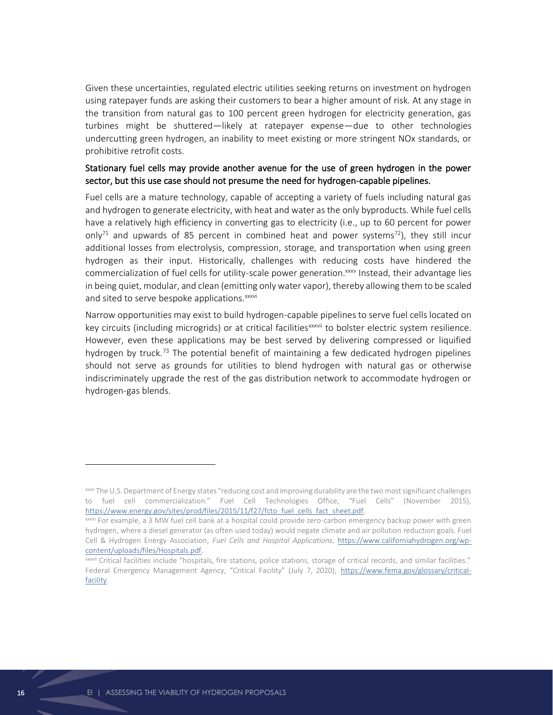Given these uncertainties, regulated electric utilities seeking returns on investment on hydrogen using ratepayer funds are asking their customers to bear a higher amount of risk. At any stage in the transition from natural gas to 100 percent green hydrogen for electricity generation, gas turbines might be shuttered—likely at ratepayer expense—due to other technologies undercutting green hydrogen, an inability to meet existing or more stringent NOx standards, or prohibitive retrofit costs.

## Stationary fuel cells may provide another avenue for the use of green hydrogen in the power sector, but this use case should not presume the need for hydrogen-capable pipelines.

Fuel cells are a mature technology, capable of accepting a variety of fuels including natural gas and hydrogen to generate electricity, with heat and water as the only byproducts. While fuel cells have a relatively high efficiency in converting gas to electricity (i.e., up to 60 percent for power only<sup>71</sup> and upwards of 85 percent in combined heat and power systems<sup>72</sup>), they still incur additional losses from electrolysis, compression, storage, and transportation when using green hydrogen as their input. Historically, challenges with reducing costs have hindered the commercialization of fuel cells for utility-scale power generation.<sup>xxxv</sup> Instead, their advantage lies in being quiet, modular, and clean (emitting only water vapor), thereby allowing them to be scaled and sited to serve bespoke applications.<sup>xxxvi</sup>

Narrow opportunities may exist to build hydrogen-capable pipelines to serve fuel cells located on key circuits (including microgrids) or at critical facilities<sup>xxxvii</sup> to bolster electric system resilience. However, even these applications may be best served by delivering compressed or liquified hydrogen by truck.<sup>73</sup> The potential benefit of maintaining a few dedicated hydrogen pipelines should not serve as grounds for utilities to blend hydrogen with natural gas or otherwise indiscriminately upgrade the rest of the gas distribution network to accommodate hydrogen or hydrogen-gas blends.

xxxv The U.S. Department of Energy states "reducing cost and improving durability are the two most significant challenges to fuel cell commercialization." Fuel Cell Technologies Office, "Fuel Cells" (November 2015), [https://www.energy.gov/sites/prod/files/2015/11/f27/fcto\\_fuel\\_cells\\_fact\\_sheet.pdf.](https://www.energy.gov/sites/prod/files/2015/11/f27/fcto_fuel_cells_fact_sheet.pdf)

xxxvi For example, a 3 MW fuel cell bank at a hospital could provide zero-carbon emergency backup power with green hydrogen, where a diesel generator (as often used today) would negate climate and air pollution reduction goals. Fuel Cell & Hydrogen Energy Association, *Fuel Cells and Hospital Applications*, [https://www.californiahydrogen.org/wp](https://www.californiahydrogen.org/wp-content/uploads/files/Hospitals.pdf)[content/uploads/files/Hospitals.pdf.](https://www.californiahydrogen.org/wp-content/uploads/files/Hospitals.pdf)

xxxvii Critical facilities include "hospitals, fire stations, police stations, storage of critical records, and similar facilities." Federal Emergency Management Agency, "Critical Facility" (July 7, 2020), [https://www.fema.gov/glossary/critical](https://www.fema.gov/glossary/critical-facility)[facility.](https://www.fema.gov/glossary/critical-facility)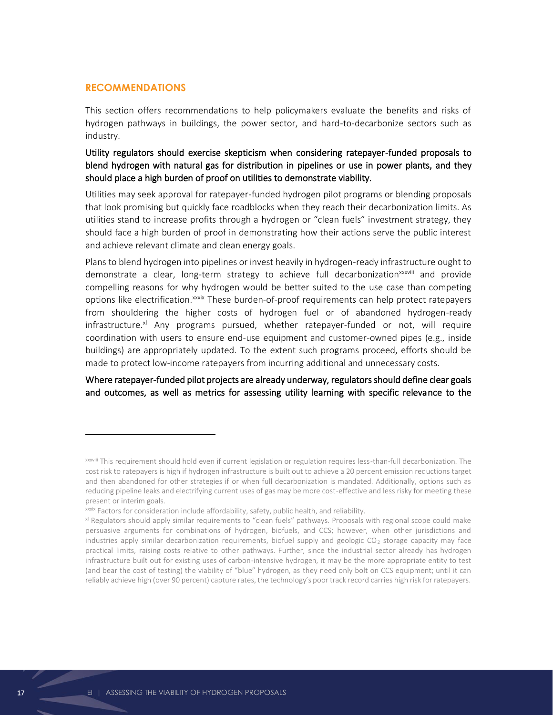#### **RECOMMENDATIONS**

This section offers recommendations to help policymakers evaluate the benefits and risks of hydrogen pathways in buildings, the power sector, and hard-to-decarbonize sectors such as industry.

Utility regulators should exercise skepticism when considering ratepayer-funded proposals to blend hydrogen with natural gas for distribution in pipelines or use in power plants, and they should place a high burden of proof on utilities to demonstrate viability.

Utilities may seek approval for ratepayer-funded hydrogen pilot programs or blending proposals that look promising but quickly face roadblocks when they reach their decarbonization limits. As utilities stand to increase profits through a hydrogen or "clean fuels" investment strategy, they should face a high burden of proof in demonstrating how their actions serve the public interest and achieve relevant climate and clean energy goals.

Plans to blend hydrogen into pipelines or invest heavily in hydrogen-ready infrastructure ought to demonstrate a clear, long-term strategy to achieve full decarbonization<sup>xxxviii</sup> and provide compelling reasons for why hydrogen would be better suited to the use case than competing options like electrification.<sup>xxxix</sup> These burden-of-proof requirements can help protect ratepayers from shouldering the higher costs of hydrogen fuel or of abandoned hydrogen-ready infrastructure. $x^{\prime}$  Any programs pursued, whether ratepayer-funded or not, will require coordination with users to ensure end-use equipment and customer-owned pipes (e.g., inside buildings) are appropriately updated. To the extent such programs proceed, efforts should be made to protect low-income ratepayers from incurring additional and unnecessary costs.

Where ratepayer-funded pilot projects are already underway, regulators should define clear goals and outcomes, as well as metrics for assessing utility learning with specific relevance to the

xxxviii This requirement should hold even if current legislation or regulation requires less-than-full decarbonization. The cost risk to ratepayers is high if hydrogen infrastructure is built out to achieve a 20 percent emission reductions target and then abandoned for other strategies if or when full decarbonization is mandated. Additionally, options such as reducing pipeline leaks and electrifying current uses of gas may be more cost-effective and less risky for meeting these present or interim goals.

xxxix Factors for consideration include affordability, safety, public health, and reliability.

xl Regulators should apply similar requirements to "clean fuels" pathways. Proposals with regional scope could make persuasive arguments for combinations of hydrogen, biofuels, and CCS; however, when other jurisdictions and industries apply similar decarbonization requirements, biofuel supply and geologic CO<sub>2</sub> storage capacity may face practical limits, raising costs relative to other pathways. Further, since the industrial sector already has hydrogen infrastructure built out for existing uses of carbon-intensive hydrogen, it may be the more appropriate entity to test (and bear the cost of testing) the viability of "blue" hydrogen, as they need only bolt on CCS equipment; until it can reliably achieve high (over 90 percent) capture rates, the technology's poor track record carries high risk for ratepayers.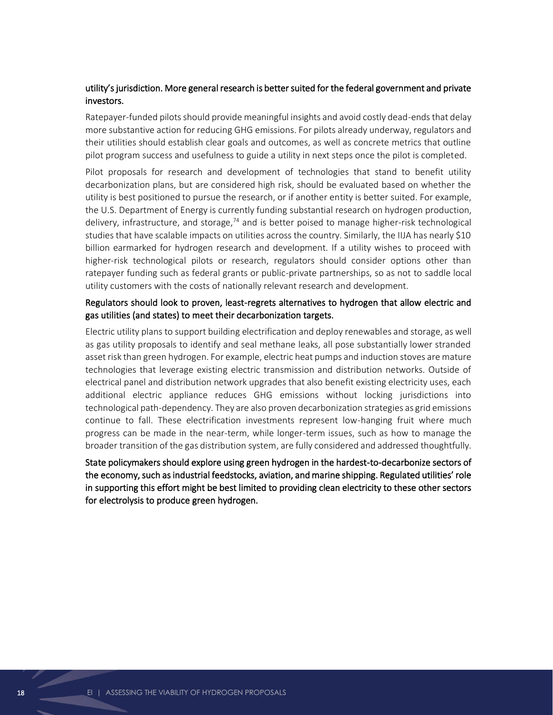## utility's jurisdiction. More general research is better suited for the federal government and private investors.

Ratepayer-funded pilots should provide meaningful insights and avoid costly dead-ends that delay more substantive action for reducing GHG emissions. For pilots already underway, regulators and their utilities should establish clear goals and outcomes, as well as concrete metrics that outline pilot program success and usefulness to guide a utility in next steps once the pilot is completed.

Pilot proposals for research and development of technologies that stand to benefit utility decarbonization plans, but are considered high risk, should be evaluated based on whether the utility is best positioned to pursue the research, or if another entity is better suited. For example, the U.S. Department of Energy is currently funding substantial research on hydrogen production, delivery, infrastructure, and storage, $74$  and is better poised to manage higher-risk technological studies that have scalable impacts on utilities across the country. Similarly, the IIJA has nearly \$10 billion earmarked for hydrogen research and development. If a utility wishes to proceed with higher-risk technological pilots or research, regulators should consider options other than ratepayer funding such as federal grants or public-private partnerships, so as not to saddle local utility customers with the costs of nationally relevant research and development.

## Regulators should look to proven, least-regrets alternatives to hydrogen that allow electric and gas utilities (and states) to meet their decarbonization targets.

Electric utility plans to support building electrification and deploy renewables and storage, as well as gas utility proposals to identify and seal methane leaks, all pose substantially lower stranded asset risk than green hydrogen. For example, electric heat pumps and induction stoves are mature technologies that leverage existing electric transmission and distribution networks. Outside of electrical panel and distribution network upgrades that also benefit existing electricity uses, each additional electric appliance reduces GHG emissions without locking jurisdictions into technological path-dependency. They are also proven decarbonization strategies as grid emissions continue to fall. These electrification investments represent low-hanging fruit where much progress can be made in the near-term, while longer-term issues, such as how to manage the broader transition of the gas distribution system, are fully considered and addressed thoughtfully.

State policymakers should explore using green hydrogen in the hardest-to-decarbonize sectors of the economy, such as industrial feedstocks, aviation, and marine shipping. Regulated utilities' role in supporting this effort might be best limited to providing clean electricity to these other sectors for electrolysis to produce green hydrogen.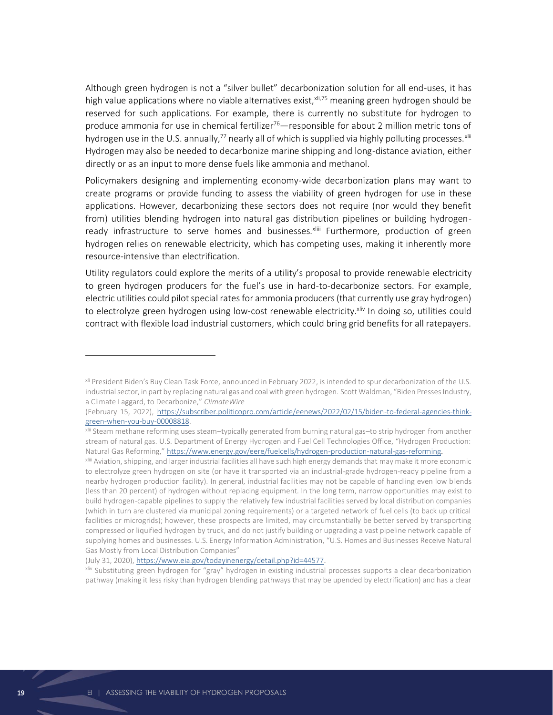Although green hydrogen is not a "silver bullet" decarbonization solution for all end-uses, it has high value applications where no viable alternatives exist,  $x_{i,75}$  meaning green hydrogen should be reserved for such applications. For example, there is currently no substitute for hydrogen to produce ammonia for use in chemical fertilizer<sup>76</sup>—responsible for about 2 million metric tons of hydrogen use in the U.S. annually,<sup>77</sup> nearly all of which is supplied via highly polluting processes.<sup>xlii</sup> Hydrogen may also be needed to decarbonize marine shipping and long-distance aviation, either directly or as an input to more dense fuels like ammonia and methanol.

Policymakers designing and implementing economy-wide decarbonization plans may want to create programs or provide funding to assess the viability of green hydrogen for use in these applications. However, decarbonizing these sectors does not require (nor would they benefit from) utilities blending hydrogen into natural gas distribution pipelines or building hydrogenready infrastructure to serve homes and businesses.<sup>xliii</sup> Furthermore, production of green hydrogen relies on renewable electricity, which has competing uses, making it inherently more resource-intensive than electrification.

Utility regulators could explore the merits of a utility's proposal to provide renewable electricity to green hydrogen producers for the fuel's use in hard-to-decarbonize sectors. For example, electric utilities could pilot special rates for ammonia producers (that currently use gray hydrogen) to electrolyze green hydrogen using low-cost renewable electricity.<sup>xliv</sup> In doing so, utilities could contract with flexible load industrial customers, which could bring grid benefits for all ratepayers.

xli President Biden's Buy Clean Task Force, announced in February 2022, is intended to spur decarbonization of the U.S. industrial sector, in part by replacing natural gas and coal with green hydrogen. Scott Waldman, "Biden Presses Industry, a Climate Laggard, to Decarbonize," *ClimateWire* 

<sup>(</sup>February 15, 2022), [https://subscriber.politicopro.com/article/eenews/2022/02/15/biden-to-federal-agencies-think](https://subscriber.politicopro.com/article/eenews/2022/02/15/biden-to-federal-agencies-think-green-when-you-buy-00008818)[green-when-you-buy-00008818.](https://subscriber.politicopro.com/article/eenews/2022/02/15/biden-to-federal-agencies-think-green-when-you-buy-00008818)

xlii Steam methane reforming uses steam–typically generated from burning natural gas–to strip hydrogen from another stream of natural gas. U.S. Department of Energy Hydrogen and Fuel Cell Technologies Office, "Hydrogen Production: Natural Gas Reforming," [https://www.energy.gov/eere/fuelcells/hydrogen-production-natural-gas-reforming.](https://www.energy.gov/eere/fuelcells/hydrogen-production-natural-gas-reforming)

xliii Aviation, shipping, and larger industrial facilities all have such high energy demands that may make it more economic to electrolyze green hydrogen on site (or have it transported via an industrial-grade hydrogen-ready pipeline from a nearby hydrogen production facility). In general, industrial facilities may not be capable of handling even low blends (less than 20 percent) of hydrogen without replacing equipment. In the long term, narrow opportunities may exist to build hydrogen-capable pipelines to supply th[e relatively few](https://www.eia.gov/todayinenergy/detail.php?id=44577) industrial facilities served by local distribution companies (which in turn are clustered via municipal zoning requirements) or a targeted network of fuel cells (to back up critical facilities or microgrids); however, these prospects are limited, may circumstantially be better served by transporting compressed or liquified hydrogen by truck, and do not justify building or upgrading a vast pipeline network capable of supplying homes and businesses. U.S. Energy Information Administration, "U.S. Homes and Businesses Receive Natural Gas Mostly from Local Distribution Companies"

<sup>(</sup>July 31, 2020), [https://www.eia.gov/todayinenergy/detail.php?id=44577.](https://www.eia.gov/todayinenergy/detail.php?id=44577)

xliv Substituting green hydrogen for "gray" hydrogen in existing industrial processes supports a clear decarbonization pathway (making it less risky than hydrogen blending pathways that may be upended by electrification) and has a clear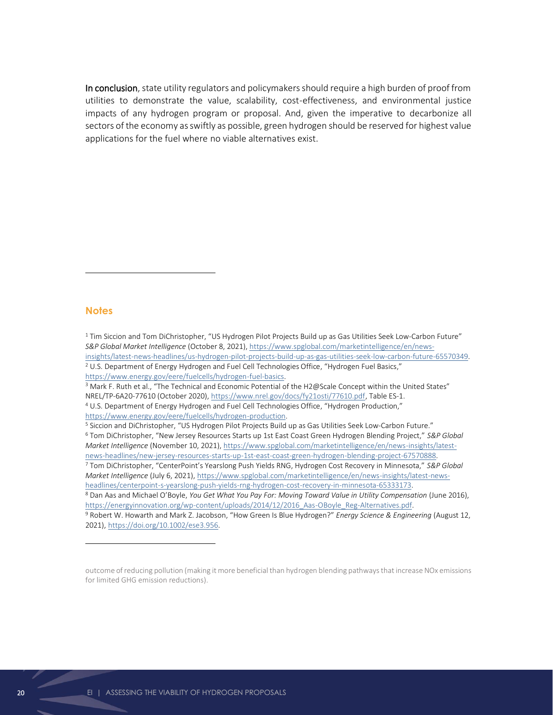In conclusion, state utility regulators and policymakers should require a high burden of proof from utilities to demonstrate the value, scalability, cost-effectiveness, and environmental justice impacts of any hydrogen program or proposal. And, given the imperative to decarbonize all sectors of the economy as swiftly as possible, green hydrogen should be reserved for highest value applications for the fuel where no viable alternatives exist.

#### **Notes**

 $1$  Tim Siccion and Tom DiChristopher, "US Hydrogen Pilot Projects Build up as Gas Utilities Seek Low-Carbon Future" *S&P Global Market Intelligence* (October 8, 2021)[, https://www.spglobal.com/marketintelligence/en/news](https://www.spglobal.com/marketintelligence/en/news-insights/latest-news-headlines/us-hydrogen-pilot-projects-build-up-as-gas-utilities-seek-low-carbon-future-65570349)[insights/latest-news-headlines/us-hydrogen-pilot-projects-build-up-as-gas-utilities-seek-low-carbon-future-65570349.](https://www.spglobal.com/marketintelligence/en/news-insights/latest-news-headlines/us-hydrogen-pilot-projects-build-up-as-gas-utilities-seek-low-carbon-future-65570349) <sup>2</sup> U.S. Department of Energy Hydrogen and Fuel Cell Technologies Office, "Hydrogen Fuel Basics," [https://www.energy.gov/eere/fuelcells/hydrogen-fuel-basics.](https://www.energy.gov/eere/fuelcells/hydrogen-fuel-basics)  <sup>3</sup> Mark F. Ruth et al., "The Technical and Economic Potential of the H2@Scale Concept within the United States" NREL/TP-6A20-77610 (October 2020), [https://www.nrel.gov/docs/fy21osti/77610.pdf,](https://www.nrel.gov/docs/fy21osti/77610.pdf) Table ES-1. <sup>4</sup> U.S. Department of Energy Hydrogen and Fuel Cell Technologies Office, "Hydrogen Production," [https://www.energy.gov/eere/fuelcells/hydrogen-production.](https://www.energy.gov/eere/fuelcells/hydrogen-production) <sup>5</sup> Siccion and DiChristopher, "US Hydrogen Pilot Projects Build up as Gas Utilities Seek Low-Carbon Future." <sup>6</sup> Tom DiChristopher, "New Jersey Resources Starts up 1st East Coast Green Hydrogen Blending Project," *S&P Global Market Intelligence* (November 10, 2021)[, https://www.spglobal.com/marketintelligence/en/news-insights/latest](https://www.spglobal.com/marketintelligence/en/news-insights/latest-news-headlines/new-jersey-resources-starts-up-1st-east-coast-green-hydrogen-blending-project-67570888)[news-headlines/new-jersey-resources-starts-up-1st-east-coast-green-hydrogen-blending-project-67570888.](https://www.spglobal.com/marketintelligence/en/news-insights/latest-news-headlines/new-jersey-resources-starts-up-1st-east-coast-green-hydrogen-blending-project-67570888) <sup>7</sup> Tom DiChristopher, "CenterPoint's Yearslong Push Yields RNG, Hydrogen Cost Recovery in Minnesota," *S&P Global Market Intelligence* (July 6, 2021)[, https://www.spglobal.com/marketintelligence/en/news-insights/latest-news](https://www.spglobal.com/marketintelligence/en/news-insights/latest-news-headlines/centerpoint-s-yearslong-push-yields-rng-hydrogen-cost-recovery-in-minnesota-65333173)[headlines/centerpoint-s-yearslong-push-yields-rng-hydrogen-cost-recovery-in-minnesota-65333173.](https://www.spglobal.com/marketintelligence/en/news-insights/latest-news-headlines/centerpoint-s-yearslong-push-yields-rng-hydrogen-cost-recovery-in-minnesota-65333173)  <sup>8</sup> Dan Aas and Michael O'Boyle, *You Get What You Pay For: Moving Toward Value in Utility Compensation* (June 2016), [https://energyinnovation.org/wp-content/uploads/2014/12/2016\\_Aas-OBoyle\\_Reg-Alternatives.pdf.](https://energyinnovation.org/wp-content/uploads/2014/12/2016_Aas-OBoyle_Reg-Alternatives.pdf) <sup>9</sup> Robert W. Howarth and Mark Z. Jacobson, "How Green Is Blue Hydrogen?" *Energy Science & Engineering* (August 12, 2021)[, https://doi.org/10.1002/ese3.956.](https://doi.org/10.1002/ese3.956)

outcome of reducing pollution (making it more beneficial than hydrogen blending pathways that increase NOx emissions for limited GHG emission reductions).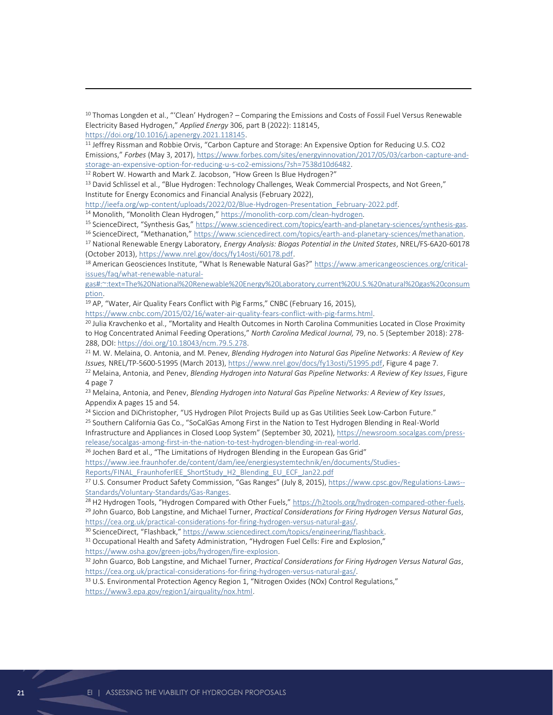<sup>10</sup> Thomas Longden et al., "'Clean' Hydrogen? – Comparing the Emissions and Costs of Fossil Fuel Versus Renewable Electricity Based Hydrogen," *Applied Energy* 306, part B (2022): 118145,

[https://doi.org/10.1016/j.apenergy.2021.118145.](https://doi.org/10.1016/j.apenergy.2021.118145)

<sup>11</sup> Jeffrey Rissman and Robbie Orvis, "Carbon Capture and Storage: An Expensive Option for Reducing U.S. CO2 Emissions," *Forbes* (May 3, 2017)[, https://www.forbes.com/sites/energyinnovation/2017/05/03/carbon-capture-and](https://www.forbes.com/sites/energyinnovation/2017/05/03/carbon-capture-and-storage-an-expensive-option-for-reducing-u-s-co2-emissions/?sh=7538d10d6482)[storage-an-expensive-option-for-reducing-u-s-co2-emissions/?sh=7538d10d6482.](https://www.forbes.com/sites/energyinnovation/2017/05/03/carbon-capture-and-storage-an-expensive-option-for-reducing-u-s-co2-emissions/?sh=7538d10d6482) 

<sup>12</sup> Robert W. Howarth and Mark Z. Jacobson, "How Green Is Blue Hydrogen?"

<sup>13</sup> David Schlissel et al., "Blue Hydrogen: Technology Challenges, Weak Commercial Prospects, and Not Green," Institute for Energy Economics and Financial Analysis (February 2022),

[http://ieefa.org/wp-content/uploads/2022/02/Blue-Hydrogen-Presentation\\_February-2022.pdf.](http://ieefa.org/wp-content/uploads/2022/02/Blue-Hydrogen-Presentation_February-2022.pdf)

<sup>14</sup> Monolith, "Monolith Clean Hydrogen," https://monolith-corp.com/clean-hydrogen.

<sup>15</sup> ScienceDirect, "Synthesis Gas," [https://www.sciencedirect.com/topics/earth-and-planetary-sciences/synthesis-gas.](https://www.sciencedirect.com/topics/earth-and-planetary-sciences/synthesis-gas)

<sup>16</sup> ScienceDirect, "Methanation," [https://www.sciencedirect.com/topics/earth-and-planetary-sciences/methanation.](https://www.sciencedirect.com/topics/earth-and-planetary-sciences/methanation) <sup>17</sup> National Renewable Energy Laboratory, *Energy Analysis: Biogas Potential in the United States*, NREL/FS-6A20-60178 (October 2013), [https://www.nrel.gov/docs/fy14osti/60178.pdf.](https://www.nrel.gov/docs/fy14osti/60178.pdf) 

<sup>18</sup> American Geosciences Institute, "What Is Renewable Natural Gas?" [https://www.americangeosciences.org/critical](https://www.americangeosciences.org/critical-issues/faq/what-renewable-natural-gas#:~:text=The%20National%20Renewable%20Energy%20Laboratory,current%20U.S.%20natural%20gas%20consumption)[issues/faq/what-renewable-natural-](https://www.americangeosciences.org/critical-issues/faq/what-renewable-natural-gas#:~:text=The%20National%20Renewable%20Energy%20Laboratory,current%20U.S.%20natural%20gas%20consumption)

[gas#:~:text=The%20National%20Renewable%20Energy%20Laboratory,current%20U.S.%20natural%20gas%20consum](https://www.americangeosciences.org/critical-issues/faq/what-renewable-natural-gas#:~:text=The%20National%20Renewable%20Energy%20Laboratory,current%20U.S.%20natural%20gas%20consumption) [ption.](https://www.americangeosciences.org/critical-issues/faq/what-renewable-natural-gas#:~:text=The%20National%20Renewable%20Energy%20Laboratory,current%20U.S.%20natural%20gas%20consumption)

<sup>19</sup> AP, "Water, Air Quality Fears Conflict with Pig Farms," CNBC (February 16, 2015),

[https://www.cnbc.com/2015/02/16/water-air-quality-fears-conflict-with-pig-farms.html.](https://www.cnbc.com/2015/02/16/water-air-quality-fears-conflict-with-pig-farms.html)

<sup>20</sup> Julia Kravchenko et al., "Mortality and Health Outcomes in North Carolina Communities Located in Close Proximity to Hog Concentrated Animal Feeding Operations," *North Carolina Medical Journal,* 79, no. 5 (September 2018): 278- 288, DOI[: https://doi.org/10.18043/ncm.79.5.278.](https://doi.org/10.18043/ncm.79.5.278)

<sup>21</sup> M. W. Melaina, O. Antonia, and M. Penev, *Blending Hydrogen into Natural Gas Pipeline Networks: A Review of Key Issues,* NREL/TP-5600-51995 (March 2013), [https://www.nrel.gov/docs/fy13osti/51995.pdf,](https://www.nrel.gov/docs/fy13osti/51995.pdf) Figure 4 page 7.

<sup>22</sup> Melaina, Antonia, and Penev, *Blending Hydrogen into Natural Gas Pipeline Networks: A Review of Key Issues*, Figure 4 page 7

<sup>23</sup> Melaina, Antonia, and Penev, *Blending Hydrogen into Natural Gas Pipeline Networks: A Review of Key Issues*, Appendix A pages 15 and 54.

<sup>24</sup> Siccion and DiChristopher, "US Hydrogen Pilot Projects Build up as Gas Utilities Seek Low-Carbon Future." <sup>25</sup> Southern California Gas Co., "SoCalGas Among First in the Nation to Test Hydrogen Blending in Real-World Infrastructure and Appliances in Closed Loop System" (September 30, 2021), [https://newsroom.socalgas.com/press-](https://newsroom.socalgas.com/press-release/socalgas-among-first-in-the-nation-to-test-hydrogen-blending-in-real-world)

[release/socalgas-among-first-in-the-nation-to-test-hydrogen-blending-in-real-world.](https://newsroom.socalgas.com/press-release/socalgas-among-first-in-the-nation-to-test-hydrogen-blending-in-real-world)

<sup>26</sup> Jochen Bard et al., "The Limitations of Hydrogen Blending in the European Gas Grid"

https://www.iee.fraunhofer.de/content/dam/iee/energiesystemtechnik/en/documents/Studies-

Reports/FINAL\_FraunhoferIEE\_ShortStudy\_H2\_Blending\_EU\_ECF\_Jan22.pdf

<sup>27</sup> U.S. Consumer Product Safety Commission, "Gas Ranges" (July 8, 2015), [https://www.cpsc.gov/Regulations-Laws--](https://www.cpsc.gov/Regulations-Laws--Standards/Voluntary-Standards/Gas-Ranges) [Standards/Voluntary-Standards/Gas-Ranges.](https://www.cpsc.gov/Regulations-Laws--Standards/Voluntary-Standards/Gas-Ranges) 

<sup>28</sup> H2 Hydrogen Tools, "Hydrogen Compared with Other Fuels," [https://h2tools.org/hydrogen-compared-other-fuels.](https://h2tools.org/hydrogen-compared-other-fuels) <sup>29</sup> John Guarco, Bob Langstine, and Michael Turner, *Practical Considerations for Firing Hydrogen Versus Natural Gas*, [https://cea.org.uk/practical-considerations-for-firing-hydrogen-versus-natural-gas/.](https://cea.org.uk/practical-considerations-for-firing-hydrogen-versus-natural-gas/)

<sup>30</sup> ScienceDirect, "Flashback," [https://www.sciencedirect.com/topics/engineering/flashback.](https://www.sciencedirect.com/topics/engineering/flashback)

<sup>31</sup> Occupational Health and Safety Administration, "Hydrogen Fuel Cells: Fire and Explosion," [https://www.osha.gov/green-jobs/hydrogen/fire-explosion.](https://www.osha.gov/green-jobs/hydrogen/fire-explosion)

<sup>32</sup> John Guarco, Bob Langstine, and Michael Turner, *Practical Considerations for Firing Hydrogen Versus Natural Gas*, [https://cea.org.uk/practical-considerations-for-firing-hydrogen-versus-natural-gas/.](https://cea.org.uk/practical-considerations-for-firing-hydrogen-versus-natural-gas/)

<sup>33</sup> U.S. Environmental Protection Agency Region 1, "Nitrogen Oxides (NOx) Control Regulations," [https://www3.epa.gov/region1/airquality/nox.html.](https://www3.epa.gov/region1/airquality/nox.html)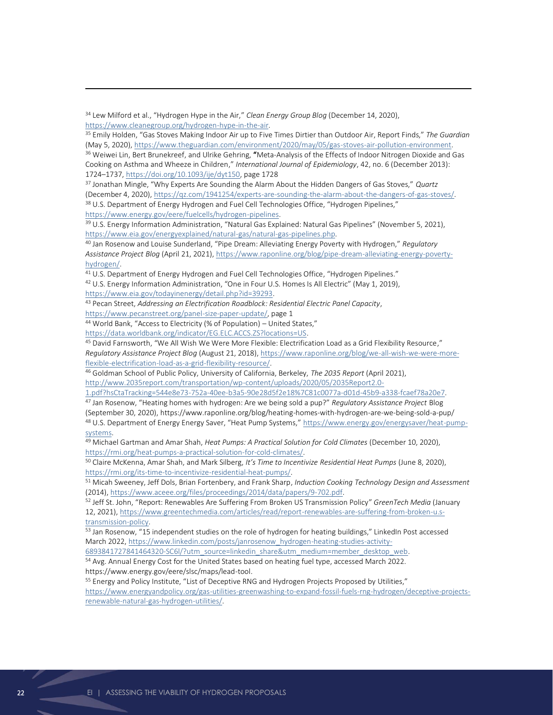<sup>34</sup> Lew Milford et al., "Hydrogen Hype in the Air," *Clean Energy Group Blog* (December 14, 2020), [https://www.cleanegroup.org/hydrogen-hype-in-the-air.](https://www.cleanegroup.org/hydrogen-hype-in-the-air)

<sup>35</sup> Emily Holden, "Gas Stoves Making Indoor Air up to Five Times Dirtier than Outdoor Air, Report Finds," *The Guardian* (May 5, 2020), [https://www.theguardian.com/environment/2020/may/05/gas-stoves-air-pollution-environment.](https://www.theguardian.com/environment/2020/may/05/gas-stoves-air-pollution-environment) <sup>36</sup> Weiwei Lin, Bert Brunekreef, and Ulrike Gehring, "Meta-Analysis of the Effects of Indoor Nitrogen Dioxide and Gas Cooking on Asthma and Wheeze in Children," *International Journal of Epidemiology*, 42, no. 6 (December 2013): 1724–1737, [https://doi.org/10.1093/ije/dyt150,](https://doi.org/10.1093/ije/dyt150) page 1728

<sup>37</sup> Jonathan Mingle, "Why Experts Are Sounding the Alarm About the Hidden Dangers of Gas Stoves," *Quartz* (December 4, 2020)[, https://qz.com/1941254/experts-are-sounding-the-alarm-about-the-dangers-of-gas-stoves/.](https://qz.com/1941254/experts-are-sounding-the-alarm-about-the-dangers-of-gas-stoves/) <sup>38</sup> U.S. Department of Energy Hydrogen and Fuel Cell Technologies Office, "Hydrogen Pipelines," [https://www.energy.gov/eere/fuelcells/hydrogen-pipelines.](https://www.energy.gov/eere/fuelcells/hydrogen-pipelines)

<sup>39</sup> U.S. Energy Information Administration, "Natural Gas Explained: Natural Gas Pipelines" (November 5, 2021), [https://www.eia.gov/energyexplained/natural-gas/natural-gas-pipelines.php.](https://www.eia.gov/energyexplained/natural-gas/natural-gas-pipelines.php)

<sup>40</sup> Jan Rosenow and Louise Sunderland, "Pipe Dream: Alleviating Energy Poverty with Hydrogen," *Regulatory Assistance Project Blog* (April 21, 2021)[, https://www.raponline.org/blog/pipe-dream-alleviating-energy-poverty](https://www.raponline.org/blog/pipe-dream-alleviating-energy-poverty-hydrogen/)[hydrogen/.](https://www.raponline.org/blog/pipe-dream-alleviating-energy-poverty-hydrogen/)

<sup>41</sup> U.S. Department of Energy Hydrogen and Fuel Cell Technologies Office, "Hydrogen Pipelines."

42 U.S. Energy Information Administration, "One in Four U.S. Homes Is All Electric" (May 1, 2019), [https://www.eia.gov/todayinenergy/detail.php?id=39293.](https://www.eia.gov/todayinenergy/detail.php?id=39293)

<sup>43</sup> Pecan Street, *Addressing an Electrification Roadblock: Residential Electric Panel Capacity*,

[https://www.pecanstreet.org/panel-size-paper-update/,](https://www.pecanstreet.org/panel-size-paper-update/) page 1

<sup>44</sup> World Bank, "Access to Electricity (% of Population) – United States,"

[https://data.worldbank.org/indicator/EG.ELC.ACCS.ZS?locations=US.](https://data.worldbank.org/indicator/EG.ELC.ACCS.ZS?locations=US) 

<sup>45</sup> David Farnsworth, "We All Wish We Were More Flexible: Electrification Load as a Grid Flexibility Resource," *Regulatory Assistance Project Blog* (August 21, 2018), [https://www.raponline.org/blog/we-all-wish-we-were-more](https://www.raponline.org/blog/we-all-wish-we-were-more-flexible-electrification-load-as-a-grid-flexibility-resource/)[flexible-electrification-load-as-a-grid-flexibility-resource/.](https://www.raponline.org/blog/we-all-wish-we-were-more-flexible-electrification-load-as-a-grid-flexibility-resource/)

<sup>46</sup> Goldman School of Public Policy, University of California, Berkeley, *The 2035 Report* (April 2021), [http://www.2035report.com/transportation/wp-content/uploads/2020/05/2035Report2.0-](http://www.2035report.com/transportation/wp-content/uploads/2020/05/2035Report2.0-1.pdf?hsCtaTracking=544e8e73-752a-40ee-b3a5-90e28d5f2e18%7C81c0077a-d01d-45b9-a338-fcaef78a20e7)

[1.pdf?hsCtaTracking=544e8e73-752a-40ee-b3a5-90e28d5f2e18%7C81c0077a-d01d-45b9-a338-fcaef78a20e7.](http://www.2035report.com/transportation/wp-content/uploads/2020/05/2035Report2.0-1.pdf?hsCtaTracking=544e8e73-752a-40ee-b3a5-90e28d5f2e18%7C81c0077a-d01d-45b9-a338-fcaef78a20e7) 

<sup>47</sup> Jan Rosenow, "Heating homes with hydrogen: Are we being sold a pup?" *Regulatory Assistance Project* Blog (September 30, 2020), https://www.raponline.org/blog/heating-homes-with-hydrogen-are-we-being-sold-a-pup/ 48 U.S. Department of Energy Energy Saver, "Heat Pump Systems," [https://www.energy.gov/energysaver/heat-pump](https://www.energy.gov/energysaver/heat-pump-systems)[systems.](https://www.energy.gov/energysaver/heat-pump-systems)

<sup>49</sup> Michael Gartman and Amar Shah, *Heat Pumps: A Practical Solution for Cold Climates* (December 10, 2020), [https://rmi.org/heat-pumps-a-practical-solution-for-cold-climates/.](https://rmi.org/heat-pumps-a-practical-solution-for-cold-climates/)

<sup>50</sup> Claire McKenna, Amar Shah, and Mark Silberg, *It's Time to Incentivize Residential Heat Pumps* (June 8, 2020), [https://rmi.org/its-time-to-incentivize-residential-heat-pumps/.](https://rmi.org/its-time-to-incentivize-residential-heat-pumps/)

<sup>51</sup> Micah Sweeney, Jeff Dols, Brian Fortenbery, and Frank Sharp, *Induction Cooking Technology Design and Assessment* (2014)[, https://www.aceee.org/files/proceedings/2014/data/papers/9-702.pdf.](https://www.aceee.org/files/proceedings/2014/data/papers/9-702.pdf)

<sup>52</sup> Jeff St. John, "Report: Renewables Are Suffering From Broken US Transmission Policy" *GreenTech Media* (January 12, 2021), [https://www.greentechmedia.com/articles/read/report-renewables-are-suffering-from-broken-u.s](https://www.greentechmedia.com/articles/read/report-renewables-are-suffering-from-broken-u.s-transmission-policy)[transmission-policy.](https://www.greentechmedia.com/articles/read/report-renewables-are-suffering-from-broken-u.s-transmission-policy) 

<sup>53</sup> Jan Rosenow, "15 independent studies on the role of hydrogen for heating buildings," LinkedIn Post accessed March 2022[, https://www.linkedin.com/posts/janrosenow\\_hydrogen-heating-studies-activity-](https://www.linkedin.com/posts/janrosenow_hydrogen-heating-studies-activity-6893841727841464320-SC6l/?utm_source=linkedin_share&utm_medium=member_desktop_web)

[6893841727841464320-SC6l/?utm\\_source=linkedin\\_share&utm\\_medium=member\\_desktop\\_web.](https://www.linkedin.com/posts/janrosenow_hydrogen-heating-studies-activity-6893841727841464320-SC6l/?utm_source=linkedin_share&utm_medium=member_desktop_web) <sup>54</sup> Avg. Annual Energy Cost for the United States based on heating fuel type, accessed March 2022. https://www.energy.gov/eere/slsc/maps/lead-tool.

55 Energy and Policy Institute, "List of Deceptive RNG and Hydrogen Projects Proposed by Utilities," [https://www.energyandpolicy.org/gas-utilities-greenwashing-to-expand-fossil-fuels-rng-hydrogen/deceptive-projects](https://www.energyandpolicy.org/gas-utilities-greenwashing-to-expand-fossil-fuels-rng-hydrogen/deceptive-projects-renewable-natural-gas-hydrogen-utilities/)[renewable-natural-gas-hydrogen-utilities/.](https://www.energyandpolicy.org/gas-utilities-greenwashing-to-expand-fossil-fuels-rng-hydrogen/deceptive-projects-renewable-natural-gas-hydrogen-utilities/)